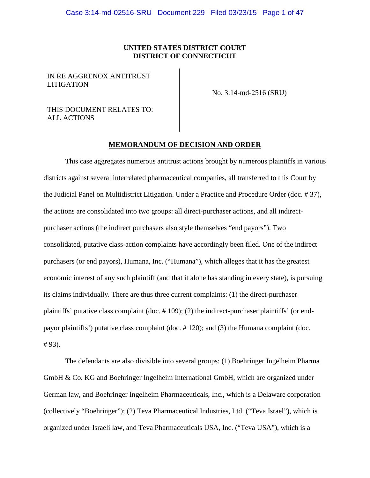# **UNITED STATES DISTRICT COURT DISTRICT OF CONNECTICUT**

IN RE AGGRENOX ANTITRUST LITIGATION

No. 3:14-md-2516 (SRU)

# THIS DOCUMENT RELATES TO: ALL ACTIONS

# **MEMORANDUM OF DECISION AND ORDER**

This case aggregates numerous antitrust actions brought by numerous plaintiffs in various districts against several interrelated pharmaceutical companies, all transferred to this Court by the Judicial Panel on Multidistrict Litigation. Under a Practice and Procedure Order (doc. # 37), the actions are consolidated into two groups: all direct-purchaser actions, and all indirectpurchaser actions (the indirect purchasers also style themselves "end payors"). Two consolidated, putative class-action complaints have accordingly been filed. One of the indirect purchasers (or end payors), Humana, Inc. ("Humana"), which alleges that it has the greatest economic interest of any such plaintiff (and that it alone has standing in every state), is pursuing its claims individually. There are thus three current complaints: (1) the direct-purchaser plaintiffs' putative class complaint (doc. # 109); (2) the indirect-purchaser plaintiffs' (or endpayor plaintiffs') putative class complaint (doc. # 120); and (3) the Humana complaint (doc. # 93).

The defendants are also divisible into several groups: (1) Boehringer Ingelheim Pharma GmbH & Co. KG and Boehringer Ingelheim International GmbH, which are organized under German law, and Boehringer Ingelheim Pharmaceuticals, Inc., which is a Delaware corporation (collectively "Boehringer"); (2) Teva Pharmaceutical Industries, Ltd. ("Teva Israel"), which is organized under Israeli law, and Teva Pharmaceuticals USA, Inc. ("Teva USA"), which is a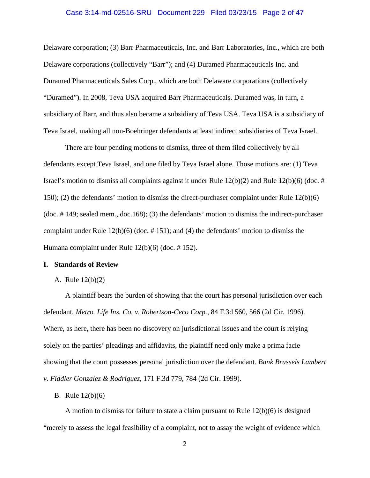#### Case 3:14-md-02516-SRU Document 229 Filed 03/23/15 Page 2 of 47

Delaware corporation; (3) Barr Pharmaceuticals, Inc. and Barr Laboratories, Inc., which are both Delaware corporations (collectively "Barr"); and (4) Duramed Pharmaceuticals Inc. and Duramed Pharmaceuticals Sales Corp., which are both Delaware corporations (collectively "Duramed"). In 2008, Teva USA acquired Barr Pharmaceuticals. Duramed was, in turn, a subsidiary of Barr, and thus also became a subsidiary of Teva USA. Teva USA is a subsidiary of Teva Israel, making all non-Boehringer defendants at least indirect subsidiaries of Teva Israel.

There are four pending motions to dismiss, three of them filed collectively by all defendants except Teva Israel, and one filed by Teva Israel alone. Those motions are: (1) Teva Israel's motion to dismiss all complaints against it under Rule  $12(b)(2)$  and Rule  $12(b)(6)$  (doc. # 150); (2) the defendants' motion to dismiss the direct-purchaser complaint under Rule 12(b)(6) (doc. # 149; sealed mem., doc.168); (3) the defendants' motion to dismiss the indirect-purchaser complaint under Rule 12(b)(6) (doc. # 151); and (4) the defendants' motion to dismiss the Humana complaint under Rule 12(b)(6) (doc. # 152).

#### **I. Standards of Review**

# A. Rule 12(b)(2)

A plaintiff bears the burden of showing that the court has personal jurisdiction over each defendant. *Metro. Life Ins. Co. v. Robertson-Ceco Corp.*, 84 F.3d 560, 566 (2d Cir. 1996). Where, as here, there has been no discovery on jurisdictional issues and the court is relying solely on the parties' pleadings and affidavits, the plaintiff need only make a prima facie showing that the court possesses personal jurisdiction over the defendant. *Bank Brussels Lambert v. Fiddler Gonzalez & Rodriguez*, 171 F.3d 779, 784 (2d Cir. 1999).

### B. Rule 12(b)(6)

A motion to dismiss for failure to state a claim pursuant to Rule  $12(b)(6)$  is designed "merely to assess the legal feasibility of a complaint, not to assay the weight of evidence which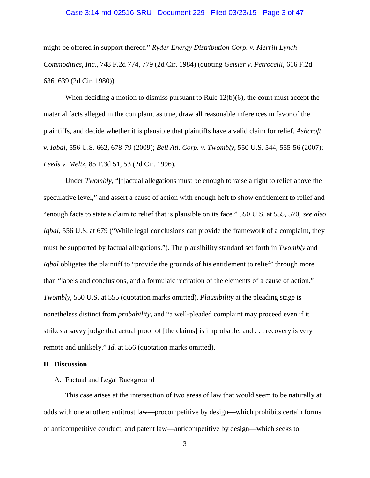#### Case 3:14-md-02516-SRU Document 229 Filed 03/23/15 Page 3 of 47

might be offered in support thereof." *Ryder Energy Distribution Corp. v. Merrill Lynch Commodities, Inc.*, 748 F.2d 774, 779 (2d Cir. 1984) (quoting *Geisler v. Petrocelli*, 616 F.2d 636, 639 (2d Cir. 1980)).

When deciding a motion to dismiss pursuant to Rule  $12(b)(6)$ , the court must accept the material facts alleged in the complaint as true, draw all reasonable inferences in favor of the plaintiffs, and decide whether it is plausible that plaintiffs have a valid claim for relief. *Ashcroft v. Iqbal*, 556 U.S. 662, 678-79 (2009); *Bell Atl. Corp. v. Twombly*, 550 U.S. 544, 555-56 (2007); *Leeds v. Meltz*, 85 F.3d 51, 53 (2d Cir. 1996).

Under *Twombly*, "[f]actual allegations must be enough to raise a right to relief above the speculative level," and assert a cause of action with enough heft to show entitlement to relief and "enough facts to state a claim to relief that is plausible on its face." 550 U.S. at 555, 570; *see also Iqbal*, 556 U.S. at 679 ("While legal conclusions can provide the framework of a complaint, they must be supported by factual allegations."). The plausibility standard set forth in *Twombly* and *Iqbal* obligates the plaintiff to "provide the grounds of his entitlement to relief" through more than "labels and conclusions, and a formulaic recitation of the elements of a cause of action." *Twombly*, 550 U.S. at 555 (quotation marks omitted). *Plausibility* at the pleading stage is nonetheless distinct from *probability*, and "a well-pleaded complaint may proceed even if it strikes a savvy judge that actual proof of [the claims] is improbable, and . . . recovery is very remote and unlikely." *Id*. at 556 (quotation marks omitted).

### **II. Discussion**

#### A. Factual and Legal Background

This case arises at the intersection of two areas of law that would seem to be naturally at odds with one another: antitrust law—procompetitive by design—which prohibits certain forms of anticompetitive conduct, and patent law—anticompetitive by design—which seeks to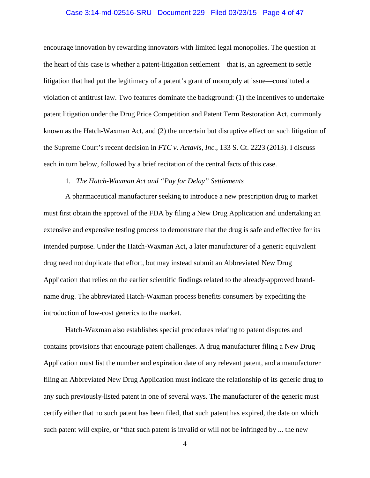### Case 3:14-md-02516-SRU Document 229 Filed 03/23/15 Page 4 of 47

encourage innovation by rewarding innovators with limited legal monopolies. The question at the heart of this case is whether a patent-litigation settlement—that is, an agreement to settle litigation that had put the legitimacy of a patent's grant of monopoly at issue—constituted a violation of antitrust law. Two features dominate the background: (1) the incentives to undertake patent litigation under the Drug Price Competition and Patent Term Restoration Act, commonly known as the Hatch-Waxman Act, and (2) the uncertain but disruptive effect on such litigation of the Supreme Court's recent decision in *FTC v. Actavis, Inc.*, 133 S. Ct. 2223 (2013). I discuss each in turn below, followed by a brief recitation of the central facts of this case.

### 1. *The Hatch-Waxman Act and "Pay for Delay" Settlements*

A pharmaceutical manufacturer seeking to introduce a new prescription drug to market must first obtain the approval of the FDA by filing a New Drug Application and undertaking an extensive and expensive testing process to demonstrate that the drug is safe and effective for its intended purpose. Under the Hatch-Waxman Act, a later manufacturer of a generic equivalent drug need not duplicate that effort, but may instead submit an Abbreviated New Drug Application that relies on the earlier scientific findings related to the already-approved brandname drug. The abbreviated Hatch-Waxman process benefits consumers by expediting the introduction of low-cost generics to the market.

Hatch-Waxman also establishes special procedures relating to patent disputes and contains provisions that encourage patent challenges. A drug manufacturer filing a New Drug Application must list the number and expiration date of any relevant patent, and a manufacturer filing an Abbreviated New Drug Application must indicate the relationship of its generic drug to any such previously-listed patent in one of several ways. The manufacturer of the generic must certify either that no such patent has been filed, that such patent has expired, the date on which such patent will expire, or "that such patent is invalid or will not be infringed by ... the new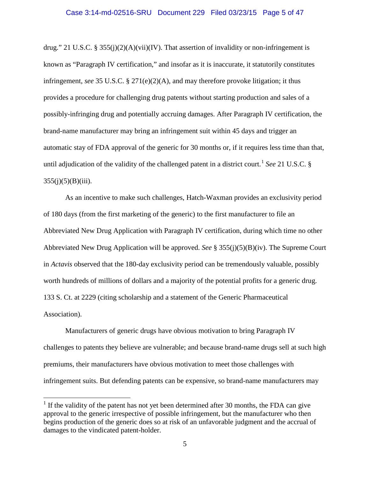# Case 3:14-md-02516-SRU Document 229 Filed 03/23/15 Page 5 of 47

drug." 21 U.S.C. § 355(j)(2)(A)(vii)(IV). That assertion of invalidity or non-infringement is known as "Paragraph IV certification," and insofar as it is inaccurate, it statutorily constitutes infringement, *see* 35 U.S.C. § 271(e)(2)(A), and may therefore provoke litigation; it thus provides a procedure for challenging drug patents without starting production and sales of a possibly-infringing drug and potentially accruing damages. After Paragraph IV certification, the brand-name manufacturer may bring an infringement suit within 45 days and trigger an automatic stay of FDA approval of the generic for 30 months or, if it requires less time than that, until adjudication of the validity of the challenged patent in a district court.<sup>[1](#page-4-0)</sup> *See* 21 U.S.C.  $\S$  $355(j)(5)(B)(iii)$ .

As an incentive to make such challenges, Hatch-Waxman provides an exclusivity period of 180 days (from the first marketing of the generic) to the first manufacturer to file an Abbreviated New Drug Application with Paragraph IV certification, during which time no other Abbreviated New Drug Application will be approved. *See* § 355(j)(5)(B)(iv). The Supreme Court in *Actavis* observed that the 180-day exclusivity period can be tremendously valuable, possibly worth hundreds of millions of dollars and a majority of the potential profits for a generic drug. 133 S. Ct. at 2229 (citing scholarship and a statement of the Generic Pharmaceutical Association).

Manufacturers of generic drugs have obvious motivation to bring Paragraph IV challenges to patents they believe are vulnerable; and because brand-name drugs sell at such high premiums, their manufacturers have obvious motivation to meet those challenges with infringement suits. But defending patents can be expensive, so brand-name manufacturers may

<span id="page-4-0"></span> $1$  If the validity of the patent has not yet been determined after 30 months, the FDA can give approval to the generic irrespective of possible infringement, but the manufacturer who then begins production of the generic does so at risk of an unfavorable judgment and the accrual of damages to the vindicated patent-holder.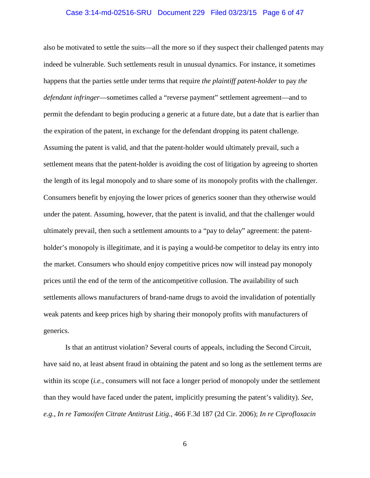#### Case 3:14-md-02516-SRU Document 229 Filed 03/23/15 Page 6 of 47

also be motivated to settle the suits—all the more so if they suspect their challenged patents may indeed be vulnerable. Such settlements result in unusual dynamics. For instance, it sometimes happens that the parties settle under terms that require *the plaintiff patent-holder* to pay *the defendant infringer*—sometimes called a "reverse payment" settlement agreement—and to permit the defendant to begin producing a generic at a future date, but a date that is earlier than the expiration of the patent, in exchange for the defendant dropping its patent challenge. Assuming the patent is valid, and that the patent-holder would ultimately prevail, such a settlement means that the patent-holder is avoiding the cost of litigation by agreeing to shorten the length of its legal monopoly and to share some of its monopoly profits with the challenger. Consumers benefit by enjoying the lower prices of generics sooner than they otherwise would under the patent. Assuming, however, that the patent is invalid, and that the challenger would ultimately prevail, then such a settlement amounts to a "pay to delay" agreement: the patentholder's monopoly is illegitimate, and it is paying a would-be competitor to delay its entry into the market. Consumers who should enjoy competitive prices now will instead pay monopoly prices until the end of the term of the anticompetitive collusion. The availability of such settlements allows manufacturers of brand-name drugs to avoid the invalidation of potentially weak patents and keep prices high by sharing their monopoly profits with manufacturers of generics.

Is that an antitrust violation? Several courts of appeals, including the Second Circuit, have said no, at least absent fraud in obtaining the patent and so long as the settlement terms are within its scope (*i.e.*, consumers will not face a longer period of monopoly under the settlement than they would have faced under the patent, implicitly presuming the patent's validity). *See, e.g.*, *In re Tamoxifen Citrate Antitrust Litig.*, 466 F.3d 187 (2d Cir. 2006); *In re Ciprofloxacin*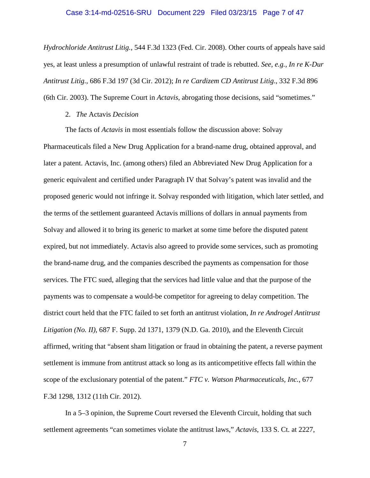#### Case 3:14-md-02516-SRU Document 229 Filed 03/23/15 Page 7 of 47

*Hydrochloride Antitrust Litig.*, 544 F.3d 1323 (Fed. Cir. 2008). Other courts of appeals have said yes, at least unless a presumption of unlawful restraint of trade is rebutted. *See, e.g.*, *In re K-Dur Antitrust Litig.*, 686 F.3d 197 (3d Cir. 2012); *In re Cardizem CD Antitrust Litig*., 332 F.3d 896 (6th Cir. 2003). The Supreme Court in *Actavis*, abrogating those decisions, said "sometimes."

# 2. *The* Actavis *Decision*

The facts of *Actavis* in most essentials follow the discussion above: Solvay Pharmaceuticals filed a New Drug Application for a brand-name drug, obtained approval, and later a patent. Actavis, Inc. (among others) filed an Abbreviated New Drug Application for a generic equivalent and certified under Paragraph IV that Solvay's patent was invalid and the proposed generic would not infringe it. Solvay responded with litigation, which later settled, and the terms of the settlement guaranteed Actavis millions of dollars in annual payments from Solvay and allowed it to bring its generic to market at some time before the disputed patent expired, but not immediately. Actavis also agreed to provide some services, such as promoting the brand-name drug, and the companies described the payments as compensation for those services. The FTC sued, alleging that the services had little value and that the purpose of the payments was to compensate a would-be competitor for agreeing to delay competition. The district court held that the FTC failed to set forth an antitrust violation, *In re Androgel Antitrust Litigation (No. II)*, 687 F. Supp. 2d 1371, 1379 (N.D. Ga. 2010), and the Eleventh Circuit affirmed, writing that "absent sham litigation or fraud in obtaining the patent, a reverse payment settlement is immune from antitrust attack so long as its anticompetitive effects fall within the scope of the exclusionary potential of the patent." *FTC v. Watson Pharmaceuticals, Inc.*, 677 F.3d 1298, 1312 (11th Cir. 2012).

In a 5–3 opinion, the Supreme Court reversed the Eleventh Circuit, holding that such settlement agreements "can sometimes violate the antitrust laws," *Actavis*, 133 S. Ct. at 2227,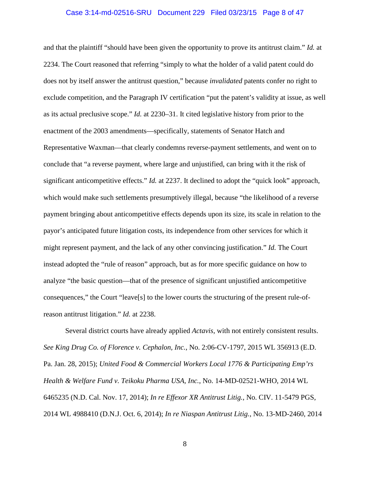#### Case 3:14-md-02516-SRU Document 229 Filed 03/23/15 Page 8 of 47

and that the plaintiff "should have been given the opportunity to prove its antitrust claim." *Id.* at 2234. The Court reasoned that referring "simply to what the holder of a valid patent could do does not by itself answer the antitrust question," because *invalidated* patents confer no right to exclude competition, and the Paragraph IV certification "put the patent's validity at issue, as well as its actual preclusive scope." *Id.* at 2230–31. It cited legislative history from prior to the enactment of the 2003 amendments—specifically, statements of Senator Hatch and Representative Waxman—that clearly condemns reverse-payment settlements, and went on to conclude that "a reverse payment, where large and unjustified, can bring with it the risk of significant anticompetitive effects." *Id.* at 2237. It declined to adopt the "quick look" approach, which would make such settlements presumptively illegal, because "the likelihood of a reverse payment bringing about anticompetitive effects depends upon its size, its scale in relation to the payor's anticipated future litigation costs, its independence from other services for which it might represent payment, and the lack of any other convincing justification." *Id.* The Court instead adopted the "rule of reason" approach, but as for more specific guidance on how to analyze "the basic question—that of the presence of significant unjustified anticompetitive consequences," the Court "leave[s] to the lower courts the structuring of the present rule-ofreason antitrust litigation." *Id.* at 2238.

Several district courts have already applied *Actavis*, with not entirely consistent results. *See King Drug Co. of Florence v. Cephalon, Inc.*, No. 2:06-CV-1797, 2015 WL 356913 (E.D. Pa. Jan. 28, 2015); *United Food & Commercial Workers Local 1776 & Participating Emp'rs Health & Welfare Fund v. Teikoku Pharma USA, Inc.*, No. 14-MD-02521-WHO, 2014 WL 6465235 (N.D. Cal. Nov. 17, 2014); *In re Effexor XR Antitrust Litig.*, No. CIV. 11-5479 PGS, 2014 WL 4988410 (D.N.J. Oct. 6, 2014); *In re Niaspan Antitrust Litig.*, No. 13-MD-2460, 2014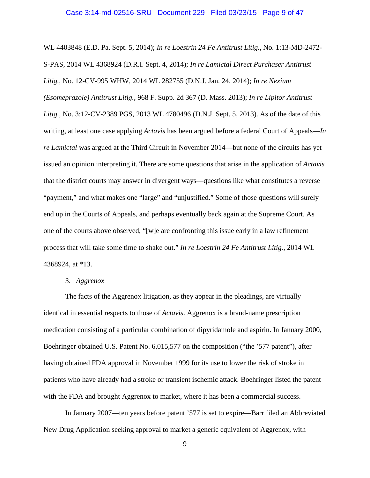#### Case 3:14-md-02516-SRU Document 229 Filed 03/23/15 Page 9 of 47

WL 4403848 (E.D. Pa. Sept. 5, 2014); *In re Loestrin 24 Fe Antitrust Litig.*, No. 1:13-MD-2472- S-PAS, 2014 WL 4368924 (D.R.I. Sept. 4, 2014); *In re Lamictal Direct Purchaser Antitrust Litig.*, No. 12-CV-995 WHW, 2014 WL 282755 (D.N.J. Jan. 24, 2014); *In re Nexium (Esomeprazole) Antitrust Litig.*, 968 F. Supp. 2d 367 (D. Mass. 2013); *In re Lipitor Antitrust Litig.*, No. 3:12-CV-2389 PGS, 2013 WL 4780496 (D.N.J. Sept. 5, 2013). As of the date of this writing, at least one case applying *Actavis* has been argued before a federal Court of Appeals—*In re Lamictal* was argued at the Third Circuit in November 2014—but none of the circuits has yet issued an opinion interpreting it. There are some questions that arise in the application of *Actavis* that the district courts may answer in divergent ways—questions like what constitutes a reverse "payment," and what makes one "large" and "unjustified." Some of those questions will surely end up in the Courts of Appeals, and perhaps eventually back again at the Supreme Court. As one of the courts above observed, "[w]e are confronting this issue early in a law refinement process that will take some time to shake out." *In re Loestrin 24 Fe Antitrust Litig.*, 2014 WL 4368924, at \*13.

### 3. *Aggrenox*

The facts of the Aggrenox litigation, as they appear in the pleadings, are virtually identical in essential respects to those of *Actavis*. Aggrenox is a brand-name prescription medication consisting of a particular combination of dipyridamole and aspirin. In January 2000, Boehringer obtained U.S. Patent No. 6,015,577 on the composition ("the '577 patent"), after having obtained FDA approval in November 1999 for its use to lower the risk of stroke in patients who have already had a stroke or transient ischemic attack. Boehringer listed the patent with the FDA and brought Aggrenox to market, where it has been a commercial success.

In January 2007—ten years before patent '577 is set to expire—Barr filed an Abbreviated New Drug Application seeking approval to market a generic equivalent of Aggrenox, with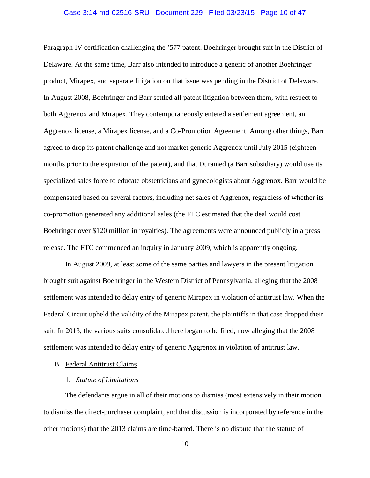#### Case 3:14-md-02516-SRU Document 229 Filed 03/23/15 Page 10 of 47

Paragraph IV certification challenging the '577 patent. Boehringer brought suit in the District of Delaware. At the same time, Barr also intended to introduce a generic of another Boehringer product, Mirapex, and separate litigation on that issue was pending in the District of Delaware. In August 2008, Boehringer and Barr settled all patent litigation between them, with respect to both Aggrenox and Mirapex. They contemporaneously entered a settlement agreement, an Aggrenox license, a Mirapex license, and a Co-Promotion Agreement. Among other things, Barr agreed to drop its patent challenge and not market generic Aggrenox until July 2015 (eighteen months prior to the expiration of the patent), and that Duramed (a Barr subsidiary) would use its specialized sales force to educate obstetricians and gynecologists about Aggrenox. Barr would be compensated based on several factors, including net sales of Aggrenox, regardless of whether its co-promotion generated any additional sales (the FTC estimated that the deal would cost Boehringer over \$120 million in royalties). The agreements were announced publicly in a press release. The FTC commenced an inquiry in January 2009, which is apparently ongoing.

In August 2009, at least some of the same parties and lawyers in the present litigation brought suit against Boehringer in the Western District of Pennsylvania, alleging that the 2008 settlement was intended to delay entry of generic Mirapex in violation of antitrust law. When the Federal Circuit upheld the validity of the Mirapex patent, the plaintiffs in that case dropped their suit. In 2013, the various suits consolidated here began to be filed, now alleging that the 2008 settlement was intended to delay entry of generic Aggrenox in violation of antitrust law.

### B. Federal Antitrust Claims

### 1. *Statute of Limitations*

The defendants argue in all of their motions to dismiss (most extensively in their motion to dismiss the direct-purchaser complaint, and that discussion is incorporated by reference in the other motions) that the 2013 claims are time-barred. There is no dispute that the statute of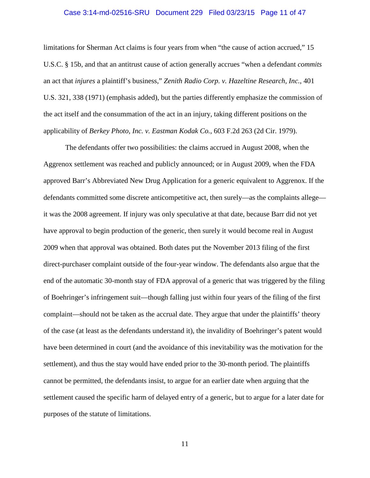#### Case 3:14-md-02516-SRU Document 229 Filed 03/23/15 Page 11 of 47

limitations for Sherman Act claims is four years from when "the cause of action accrued," 15 U.S.C. § 15b, and that an antitrust cause of action generally accrues "when a defendant *commits* an act that *injures* a plaintiff's business," *Zenith Radio Corp. v. Hazeltine Research, Inc.*, 401 U.S. 321, 338 (1971) (emphasis added), but the parties differently emphasize the commission of the act itself and the consummation of the act in an injury, taking different positions on the applicability of *Berkey Photo, Inc. v. Eastman Kodak Co.*, 603 F.2d 263 (2d Cir. 1979).

The defendants offer two possibilities: the claims accrued in August 2008, when the Aggrenox settlement was reached and publicly announced; or in August 2009, when the FDA approved Barr's Abbreviated New Drug Application for a generic equivalent to Aggrenox. If the defendants committed some discrete anticompetitive act, then surely—as the complaints allege it was the 2008 agreement. If injury was only speculative at that date, because Barr did not yet have approval to begin production of the generic, then surely it would become real in August 2009 when that approval was obtained. Both dates put the November 2013 filing of the first direct-purchaser complaint outside of the four-year window. The defendants also argue that the end of the automatic 30-month stay of FDA approval of a generic that was triggered by the filing of Boehringer's infringement suit—though falling just within four years of the filing of the first complaint—should not be taken as the accrual date. They argue that under the plaintiffs' theory of the case (at least as the defendants understand it), the invalidity of Boehringer's patent would have been determined in court (and the avoidance of this inevitability was the motivation for the settlement), and thus the stay would have ended prior to the 30-month period. The plaintiffs cannot be permitted, the defendants insist, to argue for an earlier date when arguing that the settlement caused the specific harm of delayed entry of a generic, but to argue for a later date for purposes of the statute of limitations.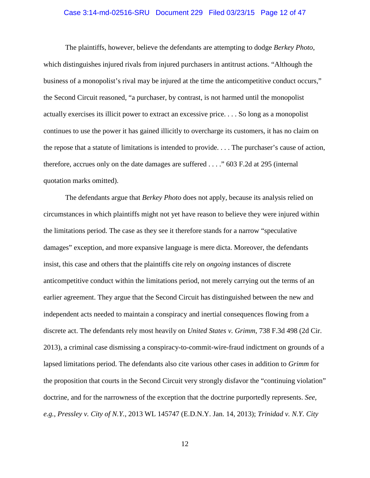#### Case 3:14-md-02516-SRU Document 229 Filed 03/23/15 Page 12 of 47

The plaintiffs, however, believe the defendants are attempting to dodge *Berkey Photo*, which distinguishes injured rivals from injured purchasers in antitrust actions. "Although the business of a monopolist's rival may be injured at the time the anticompetitive conduct occurs," the Second Circuit reasoned, "a purchaser, by contrast, is not harmed until the monopolist actually exercises its illicit power to extract an excessive price. . . . So long as a monopolist continues to use the power it has gained illicitly to overcharge its customers, it has no claim on the repose that a statute of limitations is intended to provide. . . . The purchaser's cause of action, therefore, accrues only on the date damages are suffered . . . ." 603 F.2d at 295 (internal quotation marks omitted).

The defendants argue that *Berkey Photo* does not apply, because its analysis relied on circumstances in which plaintiffs might not yet have reason to believe they were injured within the limitations period. The case as they see it therefore stands for a narrow "speculative damages" exception, and more expansive language is mere dicta. Moreover, the defendants insist, this case and others that the plaintiffs cite rely on *ongoing* instances of discrete anticompetitive conduct within the limitations period, not merely carrying out the terms of an earlier agreement. They argue that the Second Circuit has distinguished between the new and independent acts needed to maintain a conspiracy and inertial consequences flowing from a discrete act. The defendants rely most heavily on *United States v. Grimm*, 738 F.3d 498 (2d Cir. 2013), a criminal case dismissing a conspiracy-to-commit-wire-fraud indictment on grounds of a lapsed limitations period. The defendants also cite various other cases in addition to *Grimm* for the proposition that courts in the Second Circuit very strongly disfavor the "continuing violation" doctrine, and for the narrowness of the exception that the doctrine purportedly represents. *See, e.g.*, *Pressley v. City of N.Y.*, 2013 WL 145747 (E.D.N.Y. Jan. 14, 2013); *Trinidad v. N.Y. City*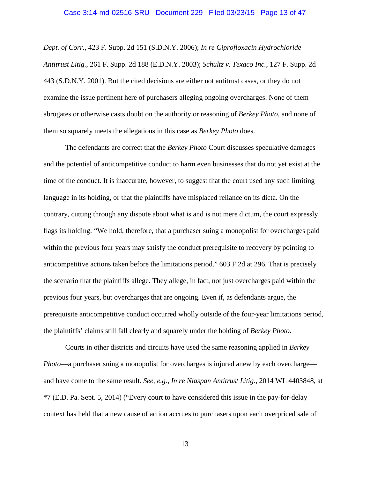#### Case 3:14-md-02516-SRU Document 229 Filed 03/23/15 Page 13 of 47

*Dept. of Corr.*, 423 F. Supp. 2d 151 (S.D.N.Y. 2006); *In re Ciprofloxacin Hydrochloride Antitrust Litig.*, 261 F. Supp. 2d 188 (E.D.N.Y. 2003); *Schultz v. Texaco Inc.*, 127 F. Supp. 2d 443 (S.D.N.Y. 2001). But the cited decisions are either not antitrust cases, or they do not examine the issue pertinent here of purchasers alleging ongoing overcharges. None of them abrogates or otherwise casts doubt on the authority or reasoning of *Berkey Photo*, and none of them so squarely meets the allegations in this case as *Berkey Photo* does.

The defendants are correct that the *Berkey Photo* Court discusses speculative damages and the potential of anticompetitive conduct to harm even businesses that do not yet exist at the time of the conduct. It is inaccurate, however, to suggest that the court used any such limiting language in its holding, or that the plaintiffs have misplaced reliance on its dicta. On the contrary, cutting through any dispute about what is and is not mere dictum, the court expressly flags its holding: "We hold, therefore, that a purchaser suing a monopolist for overcharges paid within the previous four years may satisfy the conduct prerequisite to recovery by pointing to anticompetitive actions taken before the limitations period." 603 F.2d at 296. That is precisely the scenario that the plaintiffs allege. They allege, in fact, not just overcharges paid within the previous four years, but overcharges that are ongoing. Even if, as defendants argue, the prerequisite anticompetitive conduct occurred wholly outside of the four-year limitations period, the plaintiffs' claims still fall clearly and squarely under the holding of *Berkey Photo*.

Courts in other districts and circuits have used the same reasoning applied in *Berkey Photo*—a purchaser suing a monopolist for overcharges is injured anew by each overcharge and have come to the same result. *See, e.g.*, *In re Niaspan Antitrust Litig.*, 2014 WL 4403848, at \*7 (E.D. Pa. Sept. 5, 2014) ("Every court to have considered this issue in the pay-for-delay context has held that a new cause of action accrues to purchasers upon each overpriced sale of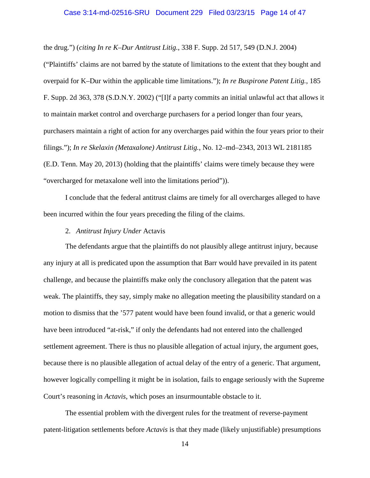#### Case 3:14-md-02516-SRU Document 229 Filed 03/23/15 Page 14 of 47

the drug.") (*citing In re K–Dur Antitrust Litig.*, 338 F. Supp. 2d 517, 549 (D.N.J. 2004)

("Plaintiffs' claims are not barred by the statute of limitations to the extent that they bought and overpaid for K–Dur within the applicable time limitations."); *In re Buspirone Patent Litig.*, 185 F. Supp. 2d 363, 378 (S.D.N.Y. 2002) ("[I]f a party commits an initial unlawful act that allows it to maintain market control and overcharge purchasers for a period longer than four years, purchasers maintain a right of action for any overcharges paid within the four years prior to their filings."); *In re Skelaxin (Metaxalone) Antitrust Litig.*, No. 12–md–2343, 2013 WL 2181185 (E.D. Tenn. May 20, 2013) (holding that the plaintiffs' claims were timely because they were "overcharged for metaxalone well into the limitations period")).

I conclude that the federal antitrust claims are timely for all overcharges alleged to have been incurred within the four years preceding the filing of the claims.

### 2. *Antitrust Injury Under* Actavis

The defendants argue that the plaintiffs do not plausibly allege antitrust injury, because any injury at all is predicated upon the assumption that Barr would have prevailed in its patent challenge, and because the plaintiffs make only the conclusory allegation that the patent was weak. The plaintiffs, they say, simply make no allegation meeting the plausibility standard on a motion to dismiss that the '577 patent would have been found invalid, or that a generic would have been introduced "at-risk," if only the defendants had not entered into the challenged settlement agreement. There is thus no plausible allegation of actual injury, the argument goes, because there is no plausible allegation of actual delay of the entry of a generic. That argument, however logically compelling it might be in isolation, fails to engage seriously with the Supreme Court's reasoning in *Actavis*, which poses an insurmountable obstacle to it.

The essential problem with the divergent rules for the treatment of reverse-payment patent-litigation settlements before *Actavis* is that they made (likely unjustifiable) presumptions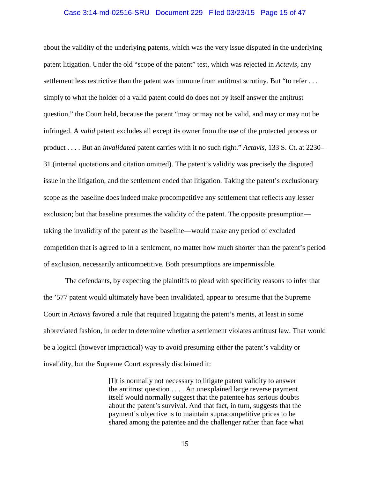#### Case 3:14-md-02516-SRU Document 229 Filed 03/23/15 Page 15 of 47

about the validity of the underlying patents, which was the very issue disputed in the underlying patent litigation. Under the old "scope of the patent" test, which was rejected in *Actavis*, any settlement less restrictive than the patent was immune from antitrust scrutiny. But "to refer . . . simply to what the holder of a valid patent could do does not by itself answer the antitrust question," the Court held, because the patent "may or may not be valid, and may or may not be infringed. A *valid* patent excludes all except its owner from the use of the protected process or product . . . . But an *invalidated* patent carries with it no such right." *Actavis*, 133 S. Ct. at 2230– 31 (internal quotations and citation omitted). The patent's validity was precisely the disputed issue in the litigation, and the settlement ended that litigation. Taking the patent's exclusionary scope as the baseline does indeed make procompetitive any settlement that reflects any lesser exclusion; but that baseline presumes the validity of the patent. The opposite presumption taking the invalidity of the patent as the baseline—would make any period of excluded competition that is agreed to in a settlement, no matter how much shorter than the patent's period of exclusion, necessarily anticompetitive. Both presumptions are impermissible.

The defendants, by expecting the plaintiffs to plead with specificity reasons to infer that the '577 patent would ultimately have been invalidated, appear to presume that the Supreme Court in *Actavis* favored a rule that required litigating the patent's merits, at least in some abbreviated fashion, in order to determine whether a settlement violates antitrust law. That would be a logical (however impractical) way to avoid presuming either the patent's validity or invalidity, but the Supreme Court expressly disclaimed it:

> [I]t is normally not necessary to litigate patent validity to answer the antitrust question . . . . An unexplained large reverse payment itself would normally suggest that the patentee has serious doubts about the patent's survival. And that fact, in turn, suggests that the payment's objective is to maintain supracompetitive prices to be shared among the patentee and the challenger rather than face what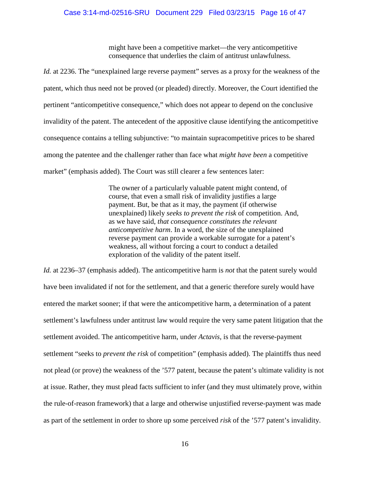might have been a competitive market—the very anticompetitive consequence that underlies the claim of antitrust unlawfulness.

*Id.* at 2236. The "unexplained large reverse payment" serves as a proxy for the weakness of the patent, which thus need not be proved (or pleaded) directly. Moreover, the Court identified the pertinent "anticompetitive consequence," which does not appear to depend on the conclusive invalidity of the patent. The antecedent of the appositive clause identifying the anticompetitive consequence contains a telling subjunctive: "to maintain supracompetitive prices to be shared among the patentee and the challenger rather than face what *might have been* a competitive market" (emphasis added). The Court was still clearer a few sentences later:

> The owner of a particularly valuable patent might contend, of course, that even a small risk of invalidity justifies a large payment. But, be that as it may, the payment (if otherwise unexplained) likely *seeks to prevent the risk* of competition. And, as we have said, *that consequence constitutes the relevant anticompetitive harm*. In a word, the size of the unexplained reverse payment can provide a workable surrogate for a patent's weakness, all without forcing a court to conduct a detailed exploration of the validity of the patent itself.

*Id.* at 2236–37 (emphasis added). The anticompetitive harm is *not* that the patent surely would have been invalidated if not for the settlement, and that a generic therefore surely would have entered the market sooner; if that were the anticompetitive harm, a determination of a patent settlement's lawfulness under antitrust law would require the very same patent litigation that the settlement avoided. The anticompetitive harm, under *Actavis*, is that the reverse-payment settlement "seeks to *prevent the risk* of competition" (emphasis added). The plaintiffs thus need not plead (or prove) the weakness of the '577 patent, because the patent's ultimate validity is not at issue. Rather, they must plead facts sufficient to infer (and they must ultimately prove, within the rule-of-reason framework) that a large and otherwise unjustified reverse-payment was made as part of the settlement in order to shore up some perceived *risk* of the '577 patent's invalidity.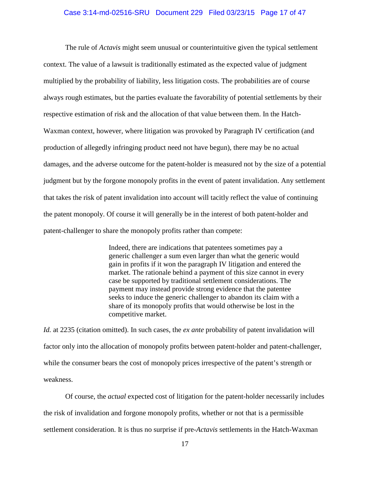#### Case 3:14-md-02516-SRU Document 229 Filed 03/23/15 Page 17 of 47

The rule of *Actavis* might seem unusual or counterintuitive given the typical settlement context. The value of a lawsuit is traditionally estimated as the expected value of judgment multiplied by the probability of liability, less litigation costs. The probabilities are of course always rough estimates, but the parties evaluate the favorability of potential settlements by their respective estimation of risk and the allocation of that value between them. In the Hatch-Waxman context, however, where litigation was provoked by Paragraph IV certification (and production of allegedly infringing product need not have begun), there may be no actual damages, and the adverse outcome for the patent-holder is measured not by the size of a potential judgment but by the forgone monopoly profits in the event of patent invalidation. Any settlement that takes the risk of patent invalidation into account will tacitly reflect the value of continuing the patent monopoly. Of course it will generally be in the interest of both patent-holder and patent-challenger to share the monopoly profits rather than compete:

> Indeed, there are indications that patentees sometimes pay a generic challenger a sum even larger than what the generic would gain in profits if it won the paragraph IV litigation and entered the market. The rationale behind a payment of this size cannot in every case be supported by traditional settlement considerations. The payment may instead provide strong evidence that the patentee seeks to induce the generic challenger to abandon its claim with a share of its monopoly profits that would otherwise be lost in the competitive market.

*Id.* at 2235 (citation omitted). In such cases, the *ex ante* probability of patent invalidation will factor only into the allocation of monopoly profits between patent-holder and patent-challenger, while the consumer bears the cost of monopoly prices irrespective of the patent's strength or weakness.

Of course, the *actual* expected cost of litigation for the patent-holder necessarily includes the risk of invalidation and forgone monopoly profits, whether or not that is a permissible settlement consideration. It is thus no surprise if pre-*Actavis* settlements in the Hatch-Waxman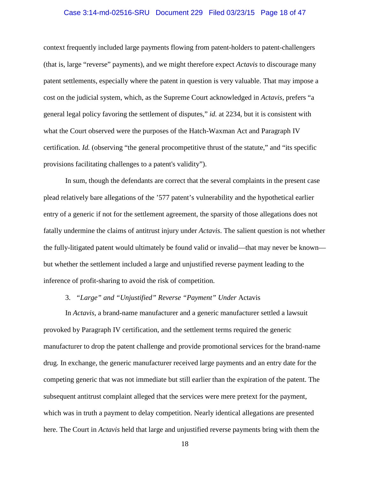### Case 3:14-md-02516-SRU Document 229 Filed 03/23/15 Page 18 of 47

context frequently included large payments flowing from patent-holders to patent-challengers (that is, large "reverse" payments), and we might therefore expect *Actavis* to discourage many patent settlements, especially where the patent in question is very valuable. That may impose a cost on the judicial system, which, as the Supreme Court acknowledged in *Actavis*, prefers "a general legal policy favoring the settlement of disputes," *id.* at 2234, but it is consistent with what the Court observed were the purposes of the Hatch-Waxman Act and Paragraph IV certification. *Id.* (observing "the general procompetitive thrust of the statute," and "its specific provisions facilitating challenges to a patent's validity").

In sum, though the defendants are correct that the several complaints in the present case plead relatively bare allegations of the '577 patent's vulnerability and the hypothetical earlier entry of a generic if not for the settlement agreement, the sparsity of those allegations does not fatally undermine the claims of antitrust injury under *Actavis*. The salient question is not whether the fully-litigated patent would ultimately be found valid or invalid—that may never be known but whether the settlement included a large and unjustified reverse payment leading to the inference of profit-sharing to avoid the risk of competition.

# 3. *"Large" and "Unjustified" Reverse "Payment" Under* Actavis

In *Actavis*, a brand-name manufacturer and a generic manufacturer settled a lawsuit provoked by Paragraph IV certification, and the settlement terms required the generic manufacturer to drop the patent challenge and provide promotional services for the brand-name drug. In exchange, the generic manufacturer received large payments and an entry date for the competing generic that was not immediate but still earlier than the expiration of the patent. The subsequent antitrust complaint alleged that the services were mere pretext for the payment, which was in truth a payment to delay competition. Nearly identical allegations are presented here. The Court in *Actavis* held that large and unjustified reverse payments bring with them the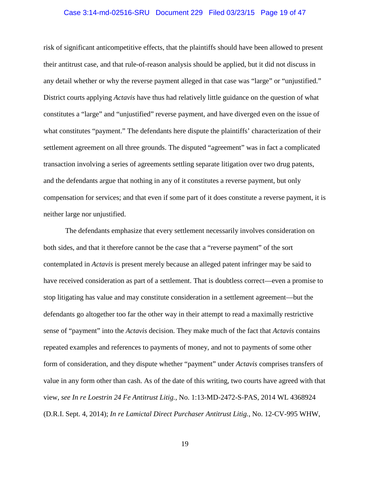#### Case 3:14-md-02516-SRU Document 229 Filed 03/23/15 Page 19 of 47

risk of significant anticompetitive effects, that the plaintiffs should have been allowed to present their antitrust case, and that rule-of-reason analysis should be applied, but it did not discuss in any detail whether or why the reverse payment alleged in that case was "large" or "unjustified." District courts applying *Actavis* have thus had relatively little guidance on the question of what constitutes a "large" and "unjustified" reverse payment, and have diverged even on the issue of what constitutes "payment." The defendants here dispute the plaintiffs' characterization of their settlement agreement on all three grounds. The disputed "agreement" was in fact a complicated transaction involving a series of agreements settling separate litigation over two drug patents, and the defendants argue that nothing in any of it constitutes a reverse payment, but only compensation for services; and that even if some part of it does constitute a reverse payment, it is neither large nor unjustified.

The defendants emphasize that every settlement necessarily involves consideration on both sides, and that it therefore cannot be the case that a "reverse payment" of the sort contemplated in *Actavis* is present merely because an alleged patent infringer may be said to have received consideration as part of a settlement. That is doubtless correct—even a promise to stop litigating has value and may constitute consideration in a settlement agreement—but the defendants go altogether too far the other way in their attempt to read a maximally restrictive sense of "payment" into the *Actavis* decision. They make much of the fact that *Actavis* contains repeated examples and references to payments of money, and not to payments of some other form of consideration, and they dispute whether "payment" under *Actavis* comprises transfers of value in any form other than cash. As of the date of this writing, two courts have agreed with that view, *see In re Loestrin 24 Fe Antitrust Litig.*, No. 1:13-MD-2472-S-PAS, 2014 WL 4368924 (D.R.I. Sept. 4, 2014); *In re Lamictal Direct Purchaser Antitrust Litig.*, No. 12-CV-995 WHW,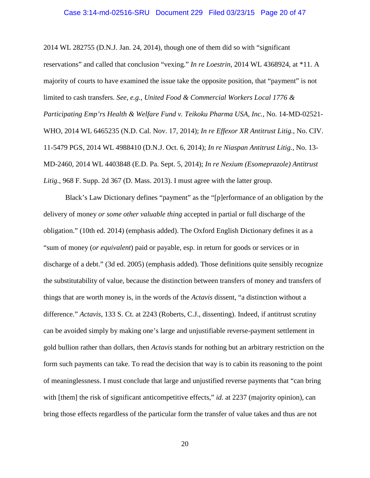#### Case 3:14-md-02516-SRU Document 229 Filed 03/23/15 Page 20 of 47

2014 WL 282755 (D.N.J. Jan. 24, 2014), though one of them did so with "significant reservations" and called that conclusion "vexing." *In re Loestrin*, 2014 WL 4368924, at \*11. A majority of courts to have examined the issue take the opposite position, that "payment" is not limited to cash transfers. *See, e.g.*, *United Food & Commercial Workers Local 1776 & Participating Emp'rs Health & Welfare Fund v. Teikoku Pharma USA, Inc.*, No. 14-MD-02521- WHO, 2014 WL 6465235 (N.D. Cal. Nov. 17, 2014); *In re Effexor XR Antitrust Litig.*, No. CIV. 11-5479 PGS, 2014 WL 4988410 (D.N.J. Oct. 6, 2014); *In re Niaspan Antitrust Litig.*, No. 13- MD-2460, 2014 WL 4403848 (E.D. Pa. Sept. 5, 2014); *In re Nexium (Esomeprazole) Antitrust Litig.*, 968 F. Supp. 2d 367 (D. Mass. 2013). I must agree with the latter group.

Black's Law Dictionary defines "payment" as the "[p]erformance of an obligation by the delivery of money *or some other valuable thing* accepted in partial or full discharge of the obligation." (10th ed. 2014) (emphasis added). The Oxford English Dictionary defines it as a "sum of money (*or equivalent*) paid or payable, esp. in return for goods or services or in discharge of a debt." (3d ed. 2005) (emphasis added). Those definitions quite sensibly recognize the substitutability of value, because the distinction between transfers of money and transfers of things that are worth money is, in the words of the *Actavis* dissent, "a distinction without a difference." *Actavis*, 133 S. Ct. at 2243 (Roberts, C.J., dissenting). Indeed, if antitrust scrutiny can be avoided simply by making one's large and unjustifiable reverse-payment settlement in gold bullion rather than dollars, then *Actavis* stands for nothing but an arbitrary restriction on the form such payments can take. To read the decision that way is to cabin its reasoning to the point of meaninglessness. I must conclude that large and unjustified reverse payments that "can bring with [them] the risk of significant anticompetitive effects," *id.* at 2237 (majority opinion), can bring those effects regardless of the particular form the transfer of value takes and thus are not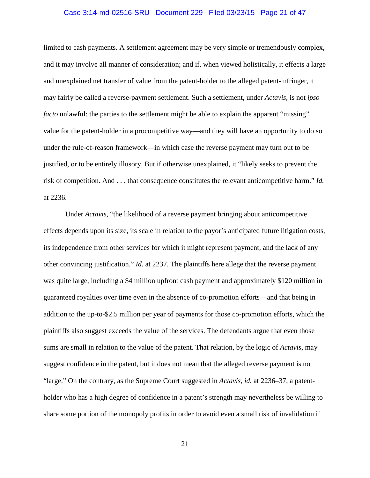#### Case 3:14-md-02516-SRU Document 229 Filed 03/23/15 Page 21 of 47

limited to cash payments. A settlement agreement may be very simple or tremendously complex, and it may involve all manner of consideration; and if, when viewed holistically, it effects a large and unexplained net transfer of value from the patent-holder to the alleged patent-infringer, it may fairly be called a reverse-payment settlement. Such a settlement, under *Actavis*, is not *ipso facto* unlawful: the parties to the settlement might be able to explain the apparent "missing" value for the patent-holder in a procompetitive way—and they will have an opportunity to do so under the rule-of-reason framework—in which case the reverse payment may turn out to be justified, or to be entirely illusory. But if otherwise unexplained, it "likely seeks to prevent the risk of competition. And . . . that consequence constitutes the relevant anticompetitive harm." *Id.* at 2236.

Under *Actavis*, "the likelihood of a reverse payment bringing about anticompetitive effects depends upon its size, its scale in relation to the payor's anticipated future litigation costs, its independence from other services for which it might represent payment, and the lack of any other convincing justification." *Id.* at 2237. The plaintiffs here allege that the reverse payment was quite large, including a \$4 million upfront cash payment and approximately \$120 million in guaranteed royalties over time even in the absence of co-promotion efforts—and that being in addition to the up-to-\$2.5 million per year of payments for those co-promotion efforts, which the plaintiffs also suggest exceeds the value of the services. The defendants argue that even those sums are small in relation to the value of the patent. That relation, by the logic of *Actavis*, may suggest confidence in the patent, but it does not mean that the alleged reverse payment is not "large." On the contrary, as the Supreme Court suggested in *Actavis*, *id.* at 2236–37, a patentholder who has a high degree of confidence in a patent's strength may nevertheless be willing to share some portion of the monopoly profits in order to avoid even a small risk of invalidation if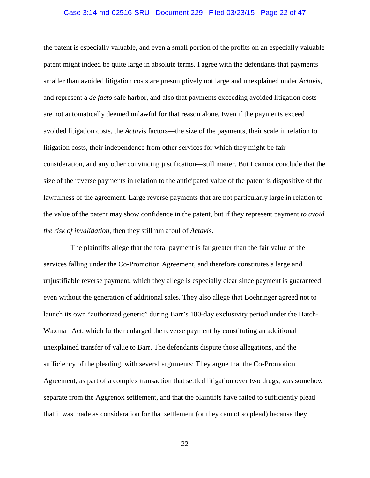#### Case 3:14-md-02516-SRU Document 229 Filed 03/23/15 Page 22 of 47

the patent is especially valuable, and even a small portion of the profits on an especially valuable patent might indeed be quite large in absolute terms. I agree with the defendants that payments smaller than avoided litigation costs are presumptively not large and unexplained under *Actavis*, and represent a *de facto* safe harbor, and also that payments exceeding avoided litigation costs are not automatically deemed unlawful for that reason alone. Even if the payments exceed avoided litigation costs, the *Actavis* factors—the size of the payments, their scale in relation to litigation costs, their independence from other services for which they might be fair consideration, and any other convincing justification—still matter. But I cannot conclude that the size of the reverse payments in relation to the anticipated value of the patent is dispositive of the lawfulness of the agreement. Large reverse payments that are not particularly large in relation to the value of the patent may show confidence in the patent, but if they represent payment *to avoid the risk of invalidation*, then they still run afoul of *Actavis*.

 The plaintiffs allege that the total payment is far greater than the fair value of the services falling under the Co-Promotion Agreement, and therefore constitutes a large and unjustifiable reverse payment, which they allege is especially clear since payment is guaranteed even without the generation of additional sales. They also allege that Boehringer agreed not to launch its own "authorized generic" during Barr's 180-day exclusivity period under the Hatch-Waxman Act, which further enlarged the reverse payment by constituting an additional unexplained transfer of value to Barr. The defendants dispute those allegations, and the sufficiency of the pleading, with several arguments: They argue that the Co-Promotion Agreement, as part of a complex transaction that settled litigation over two drugs, was somehow separate from the Aggrenox settlement, and that the plaintiffs have failed to sufficiently plead that it was made as consideration for that settlement (or they cannot so plead) because they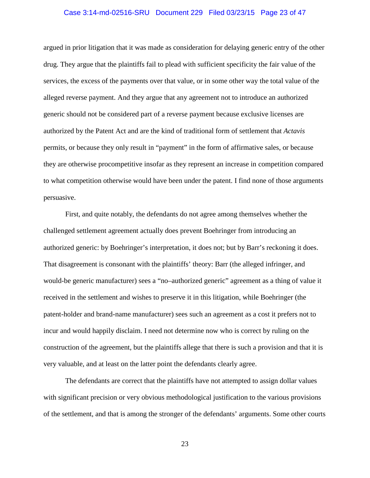#### Case 3:14-md-02516-SRU Document 229 Filed 03/23/15 Page 23 of 47

argued in prior litigation that it was made as consideration for delaying generic entry of the other drug. They argue that the plaintiffs fail to plead with sufficient specificity the fair value of the services, the excess of the payments over that value, or in some other way the total value of the alleged reverse payment. And they argue that any agreement not to introduce an authorized generic should not be considered part of a reverse payment because exclusive licenses are authorized by the Patent Act and are the kind of traditional form of settlement that *Actavis* permits, or because they only result in "payment" in the form of affirmative sales, or because they are otherwise procompetitive insofar as they represent an increase in competition compared to what competition otherwise would have been under the patent. I find none of those arguments persuasive.

First, and quite notably, the defendants do not agree among themselves whether the challenged settlement agreement actually does prevent Boehringer from introducing an authorized generic: by Boehringer's interpretation, it does not; but by Barr's reckoning it does. That disagreement is consonant with the plaintiffs' theory: Barr (the alleged infringer, and would-be generic manufacturer) sees a "no–authorized generic" agreement as a thing of value it received in the settlement and wishes to preserve it in this litigation, while Boehringer (the patent-holder and brand-name manufacturer) sees such an agreement as a cost it prefers not to incur and would happily disclaim. I need not determine now who is correct by ruling on the construction of the agreement, but the plaintiffs allege that there is such a provision and that it is very valuable, and at least on the latter point the defendants clearly agree.

The defendants are correct that the plaintiffs have not attempted to assign dollar values with significant precision or very obvious methodological justification to the various provisions of the settlement, and that is among the stronger of the defendants' arguments. Some other courts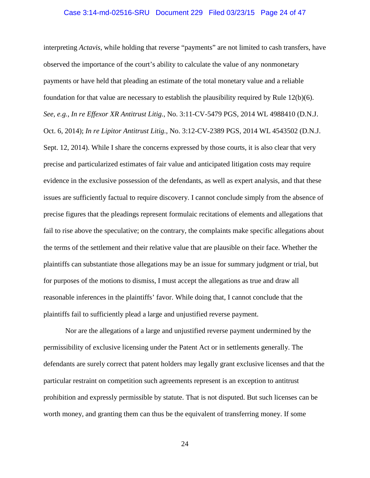#### Case 3:14-md-02516-SRU Document 229 Filed 03/23/15 Page 24 of 47

interpreting *Actavis*, while holding that reverse "payments" are not limited to cash transfers, have observed the importance of the court's ability to calculate the value of any nonmonetary payments or have held that pleading an estimate of the total monetary value and a reliable foundation for that value are necessary to establish the plausibility required by Rule 12(b)(6). *See, e.g.*, *In re Effexor XR Antitrust Litig.*, No. 3:11-CV-5479 PGS, 2014 WL 4988410 (D.N.J. Oct. 6, 2014); *In re Lipitor Antitrust Litig.*, No. 3:12-CV-2389 PGS, 2014 WL 4543502 (D.N.J. Sept. 12, 2014). While I share the concerns expressed by those courts, it is also clear that very precise and particularized estimates of fair value and anticipated litigation costs may require evidence in the exclusive possession of the defendants, as well as expert analysis, and that these issues are sufficiently factual to require discovery. I cannot conclude simply from the absence of precise figures that the pleadings represent formulaic recitations of elements and allegations that fail to rise above the speculative; on the contrary, the complaints make specific allegations about the terms of the settlement and their relative value that are plausible on their face. Whether the plaintiffs can substantiate those allegations may be an issue for summary judgment or trial, but for purposes of the motions to dismiss, I must accept the allegations as true and draw all reasonable inferences in the plaintiffs' favor. While doing that, I cannot conclude that the plaintiffs fail to sufficiently plead a large and unjustified reverse payment.

Nor are the allegations of a large and unjustified reverse payment undermined by the permissibility of exclusive licensing under the Patent Act or in settlements generally. The defendants are surely correct that patent holders may legally grant exclusive licenses and that the particular restraint on competition such agreements represent is an exception to antitrust prohibition and expressly permissible by statute. That is not disputed. But such licenses can be worth money, and granting them can thus be the equivalent of transferring money. If some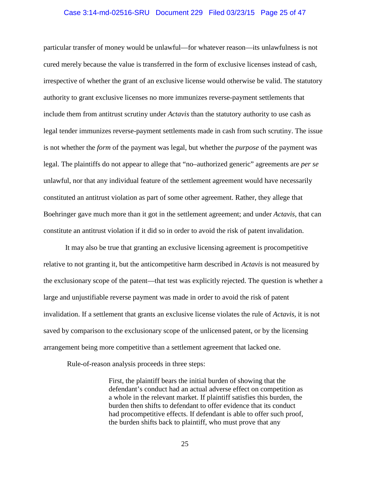#### Case 3:14-md-02516-SRU Document 229 Filed 03/23/15 Page 25 of 47

particular transfer of money would be unlawful—for whatever reason—its unlawfulness is not cured merely because the value is transferred in the form of exclusive licenses instead of cash, irrespective of whether the grant of an exclusive license would otherwise be valid. The statutory authority to grant exclusive licenses no more immunizes reverse-payment settlements that include them from antitrust scrutiny under *Actavis* than the statutory authority to use cash as legal tender immunizes reverse-payment settlements made in cash from such scrutiny. The issue is not whether the *form* of the payment was legal, but whether the *purpose* of the payment was legal. The plaintiffs do not appear to allege that "no–authorized generic" agreements are *per se* unlawful, nor that any individual feature of the settlement agreement would have necessarily constituted an antitrust violation as part of some other agreement. Rather, they allege that Boehringer gave much more than it got in the settlement agreement; and under *Actavis*, that can constitute an antitrust violation if it did so in order to avoid the risk of patent invalidation.

It may also be true that granting an exclusive licensing agreement is procompetitive relative to not granting it, but the anticompetitive harm described in *Actavis* is not measured by the exclusionary scope of the patent—that test was explicitly rejected. The question is whether a large and unjustifiable reverse payment was made in order to avoid the risk of patent invalidation. If a settlement that grants an exclusive license violates the rule of *Actavis*, it is not saved by comparison to the exclusionary scope of the unlicensed patent, or by the licensing arrangement being more competitive than a settlement agreement that lacked one.

Rule-of-reason analysis proceeds in three steps:

First, the plaintiff bears the initial burden of showing that the defendant's conduct had an actual adverse effect on competition as a whole in the relevant market. If plaintiff satisfies this burden, the burden then shifts to defendant to offer evidence that its conduct had procompetitive effects. If defendant is able to offer such proof, the burden shifts back to plaintiff, who must prove that any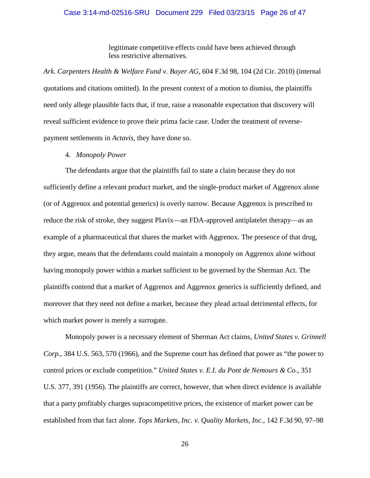#### Case 3:14-md-02516-SRU Document 229 Filed 03/23/15 Page 26 of 47

legitimate competitive effects could have been achieved through less restrictive alternatives.

*Ark. Carpenters Health & Welfare Fund v. Bayer AG*, 604 F.3d 98, 104 (2d Cir. 2010) (internal quotations and citations omitted). In the present context of a motion to dismiss, the plaintiffs need only allege plausible facts that, if true, raise a reasonable expectation that discovery will reveal sufficient evidence to prove their prima facie case. Under the treatment of reversepayment settlements in *Actavis*, they have done so.

#### 4. *Monopoly Power*

The defendants argue that the plaintiffs fail to state a claim because they do not sufficiently define a relevant product market, and the single-product market of Aggrenox alone (or of Aggrenox and potential generics) is overly narrow. Because Aggrenox is prescribed to reduce the risk of stroke, they suggest Plavix—an FDA-approved antiplatelet therapy—as an example of a pharmaceutical that shares the market with Aggrenox. The presence of that drug, they argue, means that the defendants could maintain a monopoly on Aggrenox alone without having monopoly power within a market sufficient to be governed by the Sherman Act. The plaintiffs contend that a market of Aggrenox and Aggrenox generics is sufficiently defined, and moreover that they need not define a market, because they plead actual detrimental effects, for which market power is merely a surrogate.

Monopoly power is a necessary element of Sherman Act claims, *United States v. Grinnell Corp.*, 384 U.S. 563, 570 (1966), and the Supreme court has defined that power as "the power to control prices or exclude competition." *United States v. E.I. du Pont de Nemours & Co.*, 351 U.S. 377, 391 (1956). The plaintiffs are correct, however, that when direct evidence is available that a party profitably charges supracompetitive prices, the existence of market power can be established from that fact alone. *Tops Markets, Inc. v. Quality Markets, Inc.*, 142 F.3d 90, 97–98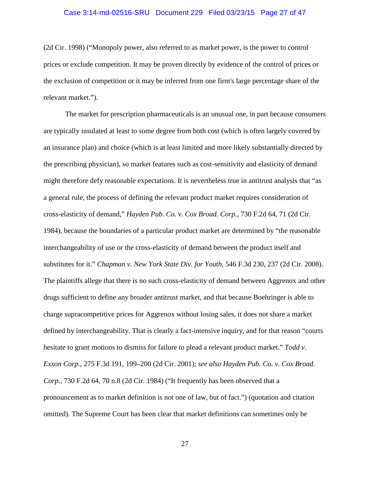#### Case 3:14-md-02516-SRU Document 229 Filed 03/23/15 Page 27 of 47

(2d Cir. 1998) ("Monopoly power, also referred to as market power, is the power to control prices or exclude competition. It may be proven directly by evidence of the control of prices or the exclusion of competition or it may be inferred from one firm's large percentage share of the relevant market.").

The market for prescription pharmaceuticals is an unusual one, in part because consumers are typically insulated at least to some degree from both cost (which is often largely covered by an insurance plan) and choice (which is at least limited and more likely substantially directed by the prescribing physician), so market features such as cost-sensitivity and elasticity of demand might therefore defy reasonable expectations. It is nevertheless true in antitrust analysis that "as a general rule, the process of defining the relevant product market requires consideration of cross-elasticity of demand," *Hayden Pub. Co. v. Cox Broad. Corp.*, 730 F.2d 64, 71 (2d Cir. 1984), because the boundaries of a particular product market are determined by "the reasonable interchangeability of use or the cross-elasticity of demand between the product itself and substitutes for it." *Chapman v. New York State Div. for Youth*, 546 F.3d 230, 237 (2d Cir. 2008). The plaintiffs allege that there is no such cross-elasticity of demand between Aggrenox and other drugs sufficient to define any broader antitrust market, and that because Boehringer is able to charge supracompetitive prices for Aggrenox without losing sales, it does not share a market defined by interchangeability. That is clearly a fact-intensive inquiry, and for that reason "courts hesitate to grant motions to dismiss for failure to plead a relevant product market." *Todd v. Exxon Corp.*, 275 F.3d 191, 199–200 (2d Cir. 2001); *see also Hayden Pub. Co. v. Cox Broad. Corp.*, 730 F.2d 64, 70 n.8 (2d Cir. 1984) ("It frequently has been observed that a pronouncement as to market definition is not one of law, but of fact.") (quotation and citation omitted). The Supreme Court has been clear that market definitions can sometimes only be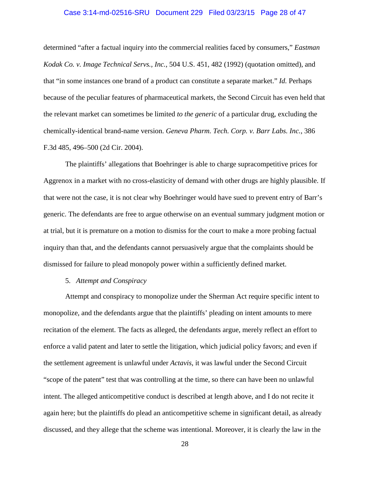#### Case 3:14-md-02516-SRU Document 229 Filed 03/23/15 Page 28 of 47

determined "after a factual inquiry into the commercial realities faced by consumers," *Eastman Kodak Co. v. Image Technical Servs., Inc.*, 504 U.S. 451, 482 (1992) (quotation omitted), and that "in some instances one brand of a product can constitute a separate market." *Id.* Perhaps because of the peculiar features of pharmaceutical markets, the Second Circuit has even held that the relevant market can sometimes be limited *to the generic* of a particular drug, excluding the chemically-identical brand-name version. *Geneva Pharm. Tech. Corp. v. Barr Labs. Inc.*, 386 F.3d 485, 496–500 (2d Cir. 2004).

The plaintiffs' allegations that Boehringer is able to charge supracompetitive prices for Aggrenox in a market with no cross-elasticity of demand with other drugs are highly plausible. If that were not the case, it is not clear why Boehringer would have sued to prevent entry of Barr's generic. The defendants are free to argue otherwise on an eventual summary judgment motion or at trial, but it is premature on a motion to dismiss for the court to make a more probing factual inquiry than that, and the defendants cannot persuasively argue that the complaints should be dismissed for failure to plead monopoly power within a sufficiently defined market.

### 5. *Attempt and Conspiracy*

Attempt and conspiracy to monopolize under the Sherman Act require specific intent to monopolize, and the defendants argue that the plaintiffs' pleading on intent amounts to mere recitation of the element. The facts as alleged, the defendants argue, merely reflect an effort to enforce a valid patent and later to settle the litigation, which judicial policy favors; and even if the settlement agreement is unlawful under *Actavis*, it was lawful under the Second Circuit "scope of the patent" test that was controlling at the time, so there can have been no unlawful intent. The alleged anticompetitive conduct is described at length above, and I do not recite it again here; but the plaintiffs do plead an anticompetitive scheme in significant detail, as already discussed, and they allege that the scheme was intentional. Moreover, it is clearly the law in the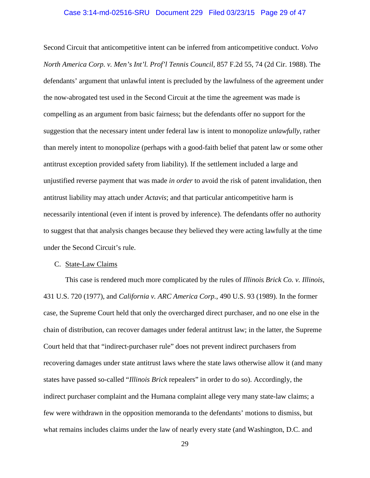#### Case 3:14-md-02516-SRU Document 229 Filed 03/23/15 Page 29 of 47

Second Circuit that anticompetitive intent can be inferred from anticompetitive conduct. *Volvo North America Corp. v. Men's Int'l. Prof'l Tennis Council*, 857 F.2d 55, 74 (2d Cir. 1988). The defendants' argument that unlawful intent is precluded by the lawfulness of the agreement under the now-abrogated test used in the Second Circuit at the time the agreement was made is compelling as an argument from basic fairness; but the defendants offer no support for the suggestion that the necessary intent under federal law is intent to monopolize *unlawfully*, rather than merely intent to monopolize (perhaps with a good-faith belief that patent law or some other antitrust exception provided safety from liability). If the settlement included a large and unjustified reverse payment that was made *in order* to avoid the risk of patent invalidation, then antitrust liability may attach under *Actavis*; and that particular anticompetitive harm is necessarily intentional (even if intent is proved by inference). The defendants offer no authority to suggest that that analysis changes because they believed they were acting lawfully at the time under the Second Circuit's rule.

#### C. State-Law Claims

This case is rendered much more complicated by the rules of *Illinois Brick Co. v. Illinois*, 431 U.S. 720 (1977), and *California v. ARC America Corp.*, 490 U.S. 93 (1989). In the former case, the Supreme Court held that only the overcharged direct purchaser, and no one else in the chain of distribution, can recover damages under federal antitrust law; in the latter, the Supreme Court held that that "indirect-purchaser rule" does not prevent indirect purchasers from recovering damages under state antitrust laws where the state laws otherwise allow it (and many states have passed so-called "*Illinois Brick* repealers" in order to do so). Accordingly, the indirect purchaser complaint and the Humana complaint allege very many state-law claims; a few were withdrawn in the opposition memoranda to the defendants' motions to dismiss, but what remains includes claims under the law of nearly every state (and Washington, D.C. and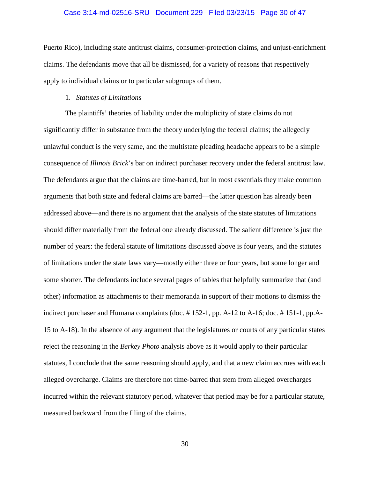#### Case 3:14-md-02516-SRU Document 229 Filed 03/23/15 Page 30 of 47

Puerto Rico), including state antitrust claims, consumer-protection claims, and unjust-enrichment claims. The defendants move that all be dismissed, for a variety of reasons that respectively apply to individual claims or to particular subgroups of them.

### 1. *Statutes of Limitations*

The plaintiffs' theories of liability under the multiplicity of state claims do not significantly differ in substance from the theory underlying the federal claims; the allegedly unlawful conduct is the very same, and the multistate pleading headache appears to be a simple consequence of *Illinois Brick*'s bar on indirect purchaser recovery under the federal antitrust law. The defendants argue that the claims are time-barred, but in most essentials they make common arguments that both state and federal claims are barred—the latter question has already been addressed above—and there is no argument that the analysis of the state statutes of limitations should differ materially from the federal one already discussed. The salient difference is just the number of years: the federal statute of limitations discussed above is four years, and the statutes of limitations under the state laws vary—mostly either three or four years, but some longer and some shorter. The defendants include several pages of tables that helpfully summarize that (and other) information as attachments to their memoranda in support of their motions to dismiss the indirect purchaser and Humana complaints (doc.  $\#$  152-1, pp. A-12 to A-16; doc.  $\#$  151-1, pp. A-15 to A-18). In the absence of any argument that the legislatures or courts of any particular states reject the reasoning in the *Berkey Photo* analysis above as it would apply to their particular statutes, I conclude that the same reasoning should apply, and that a new claim accrues with each alleged overcharge. Claims are therefore not time-barred that stem from alleged overcharges incurred within the relevant statutory period, whatever that period may be for a particular statute, measured backward from the filing of the claims.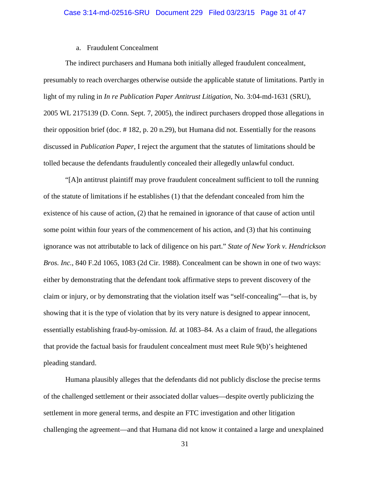### a. Fraudulent Concealment

The indirect purchasers and Humana both initially alleged fraudulent concealment, presumably to reach overcharges otherwise outside the applicable statute of limitations. Partly in light of my ruling in *In re Publication Paper Antitrust Litigation*, No. 3:04-md-1631 (SRU), 2005 WL 2175139 (D. Conn. Sept. 7, 2005), the indirect purchasers dropped those allegations in their opposition brief (doc. # 182, p. 20 n.29), but Humana did not. Essentially for the reasons discussed in *Publication Paper*, I reject the argument that the statutes of limitations should be tolled because the defendants fraudulently concealed their allegedly unlawful conduct.

"[A]n antitrust plaintiff may prove fraudulent concealment sufficient to toll the running of the statute of limitations if he establishes (1) that the defendant concealed from him the existence of his cause of action, (2) that he remained in ignorance of that cause of action until some point within four years of the commencement of his action, and (3) that his continuing ignorance was not attributable to lack of diligence on his part." *State of New York v. Hendrickson Bros. Inc.*, 840 F.2d 1065, 1083 (2d Cir. 1988). Concealment can be shown in one of two ways: either by demonstrating that the defendant took affirmative steps to prevent discovery of the claim or injury, or by demonstrating that the violation itself was "self-concealing"—that is, by showing that it is the type of violation that by its very nature is designed to appear innocent, essentially establishing fraud-by-omission. *Id.* at 1083–84. As a claim of fraud, the allegations that provide the factual basis for fraudulent concealment must meet Rule 9(b)'s heightened pleading standard.

Humana plausibly alleges that the defendants did not publicly disclose the precise terms of the challenged settlement or their associated dollar values—despite overtly publicizing the settlement in more general terms, and despite an FTC investigation and other litigation challenging the agreement—and that Humana did not know it contained a large and unexplained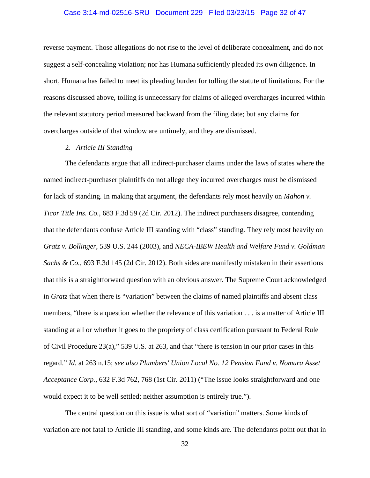#### Case 3:14-md-02516-SRU Document 229 Filed 03/23/15 Page 32 of 47

reverse payment. Those allegations do not rise to the level of deliberate concealment, and do not suggest a self-concealing violation; nor has Humana sufficiently pleaded its own diligence. In short, Humana has failed to meet its pleading burden for tolling the statute of limitations. For the reasons discussed above, tolling is unnecessary for claims of alleged overcharges incurred within the relevant statutory period measured backward from the filing date; but any claims for overcharges outside of that window are untimely, and they are dismissed.

### 2. *Article III Standing*

The defendants argue that all indirect-purchaser claims under the laws of states where the named indirect-purchaser plaintiffs do not allege they incurred overcharges must be dismissed for lack of standing. In making that argument, the defendants rely most heavily on *Mahon v. Ticor Title Ins. Co.*, 683 F.3d 59 (2d Cir. 2012). The indirect purchasers disagree, contending that the defendants confuse Article III standing with "class" standing. They rely most heavily on *Gratz v. Bollinger*, 539 U.S. 244 (2003), and *NECA-IBEW Health and Welfare Fund v. Goldman Sachs & Co.*, 693 F.3d 145 (2d Cir. 2012). Both sides are manifestly mistaken in their assertions that this is a straightforward question with an obvious answer. The Supreme Court acknowledged in *Gratz* that when there is "variation" between the claims of named plaintiffs and absent class members, "there is a question whether the relevance of this variation . . . is a matter of Article III standing at all or whether it goes to the propriety of class certification pursuant to Federal Rule of Civil Procedure 23(a)," 539 U.S. at 263, and that "there is tension in our prior cases in this regard." *Id.* at 263 n.15; *see also Plumbers' Union Local No. 12 Pension Fund v. Nomura Asset Acceptance Corp.*, 632 F.3d 762, 768 (1st Cir. 2011) ("The issue looks straightforward and one would expect it to be well settled; neither assumption is entirely true.").

The central question on this issue is what sort of "variation" matters. Some kinds of variation are not fatal to Article III standing, and some kinds are. The defendants point out that in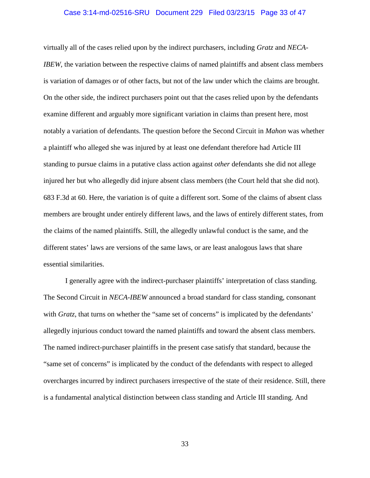#### Case 3:14-md-02516-SRU Document 229 Filed 03/23/15 Page 33 of 47

virtually all of the cases relied upon by the indirect purchasers, including *Gratz* and *NECA-IBEW*, the variation between the respective claims of named plaintiffs and absent class members is variation of damages or of other facts, but not of the law under which the claims are brought. On the other side, the indirect purchasers point out that the cases relied upon by the defendants examine different and arguably more significant variation in claims than present here, most notably a variation of defendants. The question before the Second Circuit in *Mahon* was whether a plaintiff who alleged she was injured by at least one defendant therefore had Article III standing to pursue claims in a putative class action against *other* defendants she did not allege injured her but who allegedly did injure absent class members (the Court held that she did not). 683 F.3d at 60. Here, the variation is of quite a different sort. Some of the claims of absent class members are brought under entirely different laws, and the laws of entirely different states, from the claims of the named plaintiffs. Still, the allegedly unlawful conduct is the same, and the different states' laws are versions of the same laws, or are least analogous laws that share essential similarities.

I generally agree with the indirect-purchaser plaintiffs' interpretation of class standing. The Second Circuit in *NECA-IBEW* announced a broad standard for class standing, consonant with *Gratz*, that turns on whether the "same set of concerns" is implicated by the defendants' allegedly injurious conduct toward the named plaintiffs and toward the absent class members. The named indirect-purchaser plaintiffs in the present case satisfy that standard, because the "same set of concerns" is implicated by the conduct of the defendants with respect to alleged overcharges incurred by indirect purchasers irrespective of the state of their residence. Still, there is a fundamental analytical distinction between class standing and Article III standing. And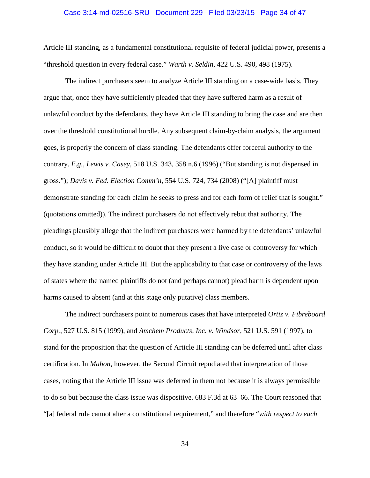#### Case 3:14-md-02516-SRU Document 229 Filed 03/23/15 Page 34 of 47

Article III standing, as a fundamental constitutional requisite of federal judicial power, presents a "threshold question in every federal case." *Warth v. Seldin*, 422 U.S. 490, 498 (1975).

The indirect purchasers seem to analyze Article III standing on a case-wide basis. They argue that, once they have sufficiently pleaded that they have suffered harm as a result of unlawful conduct by the defendants, they have Article III standing to bring the case and are then over the threshold constitutional hurdle. Any subsequent claim-by-claim analysis, the argument goes, is properly the concern of class standing. The defendants offer forceful authority to the contrary. *E.g.*, *Lewis v. Casey*, 518 U.S. 343, 358 n.6 (1996) ("But standing is not dispensed in gross."); *Davis v. Fed. Election Comm'n*, 554 U.S. 724, 734 (2008) ("[A] plaintiff must demonstrate standing for each claim he seeks to press and for each form of relief that is sought." (quotations omitted)). The indirect purchasers do not effectively rebut that authority. The pleadings plausibly allege that the indirect purchasers were harmed by the defendants' unlawful conduct, so it would be difficult to doubt that they present a live case or controversy for which they have standing under Article III. But the applicability to that case or controversy of the laws of states where the named plaintiffs do not (and perhaps cannot) plead harm is dependent upon harms caused to absent (and at this stage only putative) class members.

The indirect purchasers point to numerous cases that have interpreted *Ortiz v. Fibreboard Corp.*, 527 U.S. 815 (1999), and *Amchem Products, Inc. v. Windsor*, 521 U.S. 591 (1997), to stand for the proposition that the question of Article III standing can be deferred until after class certification. In *Mahon*, however, the Second Circuit repudiated that interpretation of those cases, noting that the Article III issue was deferred in them not because it is always permissible to do so but because the class issue was dispositive. 683 F.3d at 63–66. The Court reasoned that "[a] federal rule cannot alter a constitutional requirement," and therefore "*with respect to each*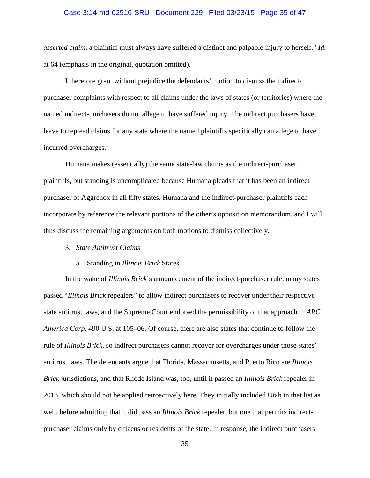#### Case 3:14-md-02516-SRU Document 229 Filed 03/23/15 Page 35 of 47

*asserted claim*, a plaintiff must always have suffered a distinct and palpable injury to herself." *Id.* at 64 (emphasis in the original, quotation omitted).

I therefore grant without prejudice the defendants' motion to dismiss the indirectpurchaser complaints with respect to all claims under the laws of states (or territories) where the named indirect-purchasers do not allege to have suffered injury. The indirect purchasers have leave to replead claims for any state where the named plaintiffs specifically can allege to have incurred overcharges.

Humana makes (essentially) the same state-law claims as the indirect-purchaser plaintiffs, but standing is uncomplicated because Humana pleads that it has been an indirect purchaser of Aggrenox in all fifty states. Humana and the indirect-purchaser plaintiffs each incorporate by reference the relevant portions of the other's opposition memorandum, and I will thus discuss the remaining arguments on both motions to dismiss collectively.

#### 3. *State Antitrust Claims*

### a. Standing in *Illinois Brick* States

In the wake of *Illinois Brick*'s announcement of the indirect-purchaser rule, many states passed "*Illinois Brick* repealers" to allow indirect purchasers to recover under their respective state antitrust laws, and the Supreme Court endorsed the permissibility of that approach in *ARC America Corp.* 490 U.S. at 105–06. Of course, there are also states that continue to follow the rule of *Illinois Brick*, so indirect purchasers cannot recover for overcharges under those states' antitrust laws. The defendants argue that Florida, Massachusetts, and Puerto Rico are *Illinois Brick* jurisdictions, and that Rhode Island was, too, until it passed an *Illinois Brick* repealer in 2013, which should not be applied retroactively here. They initially included Utah in that list as well, before admitting that it did pass an *Illinois Brick* repealer, but one that permits indirectpurchaser claims only by citizens or residents of the state. In response, the indirect purchasers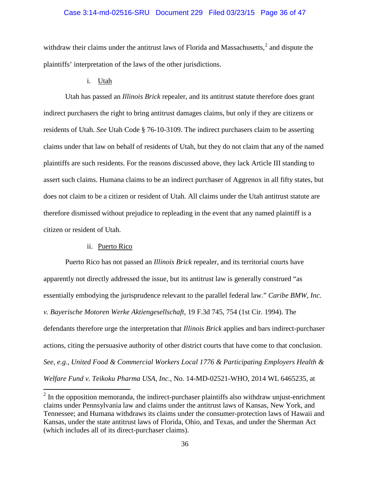### Case 3:14-md-02516-SRU Document 229 Filed 03/23/15 Page 36 of 47

withdraw their claims under the antitrust laws of Florida and Massachusetts, $2$  and dispute the plaintiffs' interpretation of the laws of the other jurisdictions.

### i. Utah

Utah has passed an *Illinois Brick* repealer, and its antitrust statute therefore does grant indirect purchasers the right to bring antitrust damages claims, but only if they are citizens or residents of Utah. *See* Utah Code § 76-10-3109. The indirect purchasers claim to be asserting claims under that law on behalf of residents of Utah, but they do not claim that any of the named plaintiffs are such residents. For the reasons discussed above, they lack Article III standing to assert such claims. Humana claims to be an indirect purchaser of Aggrenox in all fifty states, but does not claim to be a citizen or resident of Utah. All claims under the Utah antitrust statute are therefore dismissed without prejudice to repleading in the event that any named plaintiff is a citizen or resident of Utah.

### ii. Puerto Rico

Puerto Rico has not passed an *Illinois Brick* repealer, and its territorial courts have apparently not directly addressed the issue, but its antitrust law is generally construed "as essentially embodying the jurisprudence relevant to the parallel federal law." *Caribe BMW, Inc. v. Bayerische Motoren Werke Aktiengesellschaft*, 19 F.3d 745, 754 (1st Cir. 1994). The defendants therefore urge the interpretation that *Illinois Brick* applies and bars indirect-purchaser actions, citing the persuasive authority of other district courts that have come to that conclusion. *See, e.g.*, *United Food & Commercial Workers Local 1776 & Participating Employers Health & Welfare Fund v. Teikoku Pharma USA, Inc.*, No. 14-MD-02521-WHO, 2014 WL 6465235, at

<span id="page-35-0"></span> $2\text{ In the opposition memorandum.}$  the indirect-purchaser plaintiffs also withdraw unjust-enrichment claims under Pennsylvania law and claims under the antitrust laws of Kansas, New York, and Tennessee; and Humana withdraws its claims under the consumer-protection laws of Hawaii and Kansas, under the state antitrust laws of Florida, Ohio, and Texas, and under the Sherman Act (which includes all of its direct-purchaser claims).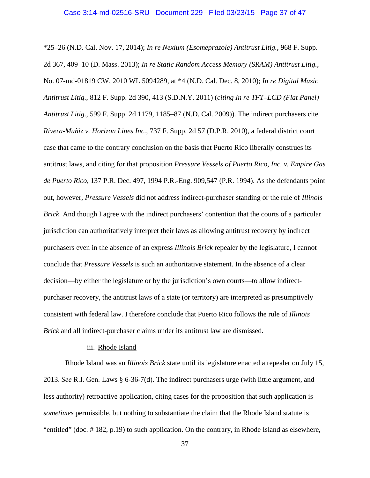\*25–26 (N.D. Cal. Nov. 17, 2014); *In re Nexium (Esomeprazole) Antitrust Litig.*, 968 F. Supp. 2d 367, 409–10 (D. Mass. 2013); *In re Static Random Access Memory (SRAM) Antitrust Litig.*, No. 07-md-01819 CW, 2010 WL 5094289, at \*4 (N.D. Cal. Dec. 8, 2010); *In re Digital Music Antitrust Litig.*, 812 F. Supp. 2d 390, 413 (S.D.N.Y. 2011) (*citing In re TFT–LCD (Flat Panel) Antitrust Litig.*, 599 F. Supp. 2d 1179, 1185–87 (N.D. Cal. 2009)). The indirect purchasers cite *Rivera-Muñiz v. Horizon Lines Inc.*, 737 F. Supp. 2d 57 (D.P.R. 2010), a federal district court case that came to the contrary conclusion on the basis that Puerto Rico liberally construes its antitrust laws, and citing for that proposition *Pressure Vessels of Puerto Rico, Inc. v. Empire Gas de Puerto Rico*, 137 P.R. Dec. 497, 1994 P.R.-Eng. 909,547 (P.R. 1994). As the defendants point out, however, *Pressure Vessels* did not address indirect-purchaser standing or the rule of *Illinois Brick*. And though I agree with the indirect purchasers' contention that the courts of a particular jurisdiction can authoritatively interpret their laws as allowing antitrust recovery by indirect purchasers even in the absence of an express *Illinois Brick* repealer by the legislature, I cannot conclude that *Pressure Vessels* is such an authoritative statement. In the absence of a clear decision—by either the legislature or by the jurisdiction's own courts—to allow indirectpurchaser recovery, the antitrust laws of a state (or territory) are interpreted as presumptively consistent with federal law. I therefore conclude that Puerto Rico follows the rule of *Illinois Brick* and all indirect-purchaser claims under its antitrust law are dismissed.

#### iii. Rhode Island

Rhode Island was an *Illinois Brick* state until its legislature enacted a repealer on July 15, 2013. *See* R.I. Gen. Laws § 6-36-7(d). The indirect purchasers urge (with little argument, and less authority) retroactive application, citing cases for the proposition that such application is *sometimes* permissible, but nothing to substantiate the claim that the Rhode Island statute is "entitled" (doc. # 182, p.19) to such application. On the contrary, in Rhode Island as elsewhere,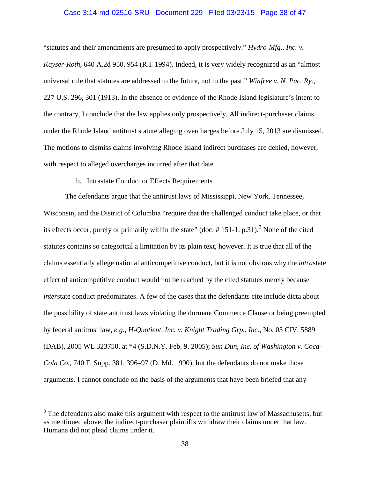#### Case 3:14-md-02516-SRU Document 229 Filed 03/23/15 Page 38 of 47

"statutes and their amendments are presumed to apply prospectively." *Hydro-Mfg., Inc. v. Kayser-Roth*, 640 A.2d 950, 954 (R.I. 1994). Indeed, it is very widely recognized as an "almost universal rule that statutes are addressed to the future, not to the past." *Winfree v. N. Pac. Ry.*, 227 U.S. 296, 301 (1913). In the absence of evidence of the Rhode Island legislature's intent to the contrary, I conclude that the law applies only prospectively. All indirect-purchaser claims under the Rhode Island antitrust statute alleging overcharges before July 15, 2013 are dismissed. The motions to dismiss claims involving Rhode Island indirect purchases are denied, however, with respect to alleged overcharges incurred after that date.

# b. Intrastate Conduct or Effects Requirements

The defendants argue that the antitrust laws of Mississippi, New York, Tennessee, Wisconsin, and the District of Columbia "require that the challenged conduct take place, or that its effects occur, purely or primarily within the state" (doc.  $\#$  151-1, p.[3](#page-37-0)1).<sup>3</sup> None of the cited statutes contains so categorical a limitation by its plain text, however. It is true that all of the claims essentially allege national anticompetitive conduct, but it is not obvious why the *intra*state effect of anticompetitive conduct would not be reached by the cited statutes merely because *inter*state conduct predominates. A few of the cases that the defendants cite include dicta about the possibility of state antitrust laws violating the dormant Commerce Clause or being preempted by federal antitrust law, *e.g.*, *H-Quotient, Inc. v. Knight Trading Grp., Inc.*, No. 03 CIV. 5889 (DAB), 2005 WL 323750, at \*4 (S.D.N.Y. Feb. 9, 2005); *Sun Dun, Inc. of Washington v. Coca-Cola Co.*, 740 F. Supp. 381, 396–97 (D. Md. 1990), but the defendants do not make those arguments. I cannot conclude on the basis of the arguments that have been briefed that any

<span id="page-37-0"></span> $3$  The defendants also make this argument with respect to the antitrust law of Massachusetts, but as mentioned above, the indirect-purchaser plaintiffs withdraw their claims under that law. Humana did not plead claims under it.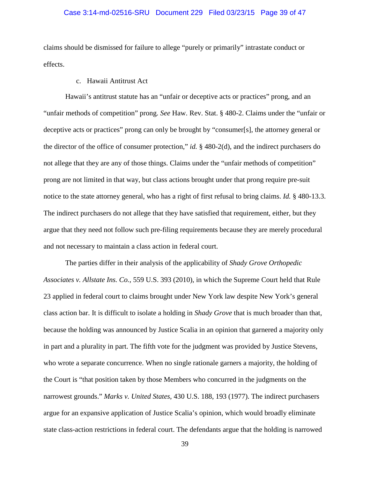### Case 3:14-md-02516-SRU Document 229 Filed 03/23/15 Page 39 of 47

claims should be dismissed for failure to allege "purely or primarily" intrastate conduct or effects.

# c. Hawaii Antitrust Act

Hawaii's antitrust statute has an "unfair or deceptive acts or practices" prong, and an "unfair methods of competition" prong. *See* Haw. Rev. Stat. § 480-2. Claims under the "unfair or deceptive acts or practices" prong can only be brought by "consumer[s], the attorney general or the director of the office of consumer protection," *id.* § 480-2(d), and the indirect purchasers do not allege that they are any of those things. Claims under the "unfair methods of competition" prong are not limited in that way, but class actions brought under that prong require pre-suit notice to the state attorney general, who has a right of first refusal to bring claims. *Id.* § 480-13.3. The indirect purchasers do not allege that they have satisfied that requirement, either, but they argue that they need not follow such pre-filing requirements because they are merely procedural and not necessary to maintain a class action in federal court.

The parties differ in their analysis of the applicability of *Shady Grove Orthopedic Associates v. Allstate Ins. Co.*, 559 U.S. 393 (2010), in which the Supreme Court held that Rule 23 applied in federal court to claims brought under New York law despite New York's general class action bar. It is difficult to isolate a holding in *Shady Grove* that is much broader than that, because the holding was announced by Justice Scalia in an opinion that garnered a majority only in part and a plurality in part. The fifth vote for the judgment was provided by Justice Stevens, who wrote a separate concurrence. When no single rationale garners a majority, the holding of the Court is "that position taken by those Members who concurred in the judgments on the narrowest grounds." *Marks v. United States*, 430 U.S. 188, 193 (1977). The indirect purchasers argue for an expansive application of Justice Scalia's opinion, which would broadly eliminate state class-action restrictions in federal court. The defendants argue that the holding is narrowed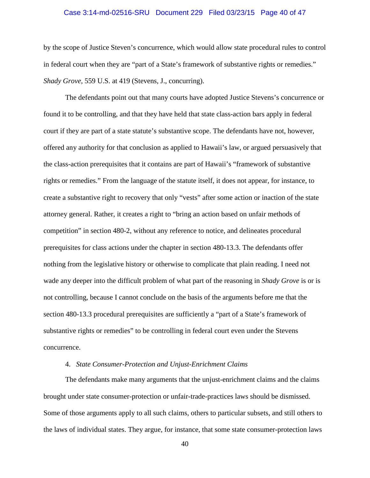#### Case 3:14-md-02516-SRU Document 229 Filed 03/23/15 Page 40 of 47

by the scope of Justice Steven's concurrence, which would allow state procedural rules to control in federal court when they are "part of a State's framework of substantive rights or remedies." *Shady Grove*, 559 U.S. at 419 (Stevens, J., concurring).

The defendants point out that many courts have adopted Justice Stevens's concurrence or found it to be controlling, and that they have held that state class-action bars apply in federal court if they are part of a state statute's substantive scope. The defendants have not, however, offered any authority for that conclusion as applied to Hawaii's law, or argued persuasively that the class-action prerequisites that it contains are part of Hawaii's "framework of substantive rights or remedies." From the language of the statute itself, it does not appear, for instance, to create a substantive right to recovery that only "vests" after some action or inaction of the state attorney general. Rather, it creates a right to "bring an action based on unfair methods of competition" in section 480-2, without any reference to notice, and delineates procedural prerequisites for class actions under the chapter in section 480-13.3. The defendants offer nothing from the legislative history or otherwise to complicate that plain reading. I need not wade any deeper into the difficult problem of what part of the reasoning in *Shady Grove* is or is not controlling, because I cannot conclude on the basis of the arguments before me that the section 480-13.3 procedural prerequisites are sufficiently a "part of a State's framework of substantive rights or remedies" to be controlling in federal court even under the Stevens concurrence.

# 4. *State Consumer-Protection and Unjust-Enrichment Claims*

The defendants make many arguments that the unjust-enrichment claims and the claims brought under state consumer-protection or unfair-trade-practices laws should be dismissed. Some of those arguments apply to all such claims, others to particular subsets, and still others to the laws of individual states. They argue, for instance, that some state consumer-protection laws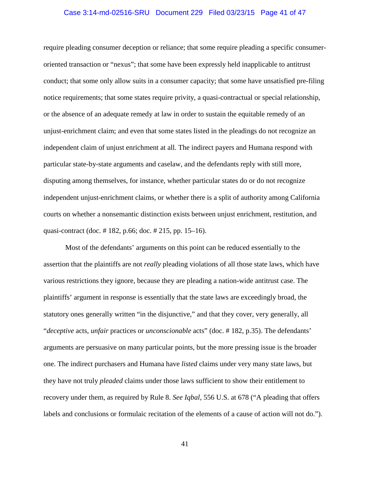#### Case 3:14-md-02516-SRU Document 229 Filed 03/23/15 Page 41 of 47

require pleading consumer deception or reliance; that some require pleading a specific consumeroriented transaction or "nexus"; that some have been expressly held inapplicable to antitrust conduct; that some only allow suits in a consumer capacity; that some have unsatisfied pre-filing notice requirements; that some states require privity, a quasi-contractual or special relationship, or the absence of an adequate remedy at law in order to sustain the equitable remedy of an unjust-enrichment claim; and even that some states listed in the pleadings do not recognize an independent claim of unjust enrichment at all. The indirect payers and Humana respond with particular state-by-state arguments and caselaw, and the defendants reply with still more, disputing among themselves, for instance, whether particular states do or do not recognize independent unjust-enrichment claims, or whether there is a split of authority among California courts on whether a nonsemantic distinction exists between unjust enrichment, restitution, and quasi-contract (doc. # 182, p.66; doc. # 215, pp. 15–16).

Most of the defendants' arguments on this point can be reduced essentially to the assertion that the plaintiffs are not *really* pleading violations of all those state laws, which have various restrictions they ignore, because they are pleading a nation-wide antitrust case. The plaintiffs' argument in response is essentially that the state laws are exceedingly broad, the statutory ones generally written "in the disjunctive," and that they cover, very generally, all "*deceptive* acts, *unfair* practices or *unconscionable* acts" (doc. # 182, p.35). The defendants' arguments are persuasive on many particular points, but the more pressing issue is the broader one. The indirect purchasers and Humana have *listed* claims under very many state laws, but they have not truly *pleaded* claims under those laws sufficient to show their entitlement to recovery under them, as required by Rule 8. *See Iqbal*, 556 U.S. at 678 ("A pleading that offers labels and conclusions or formulaic recitation of the elements of a cause of action will not do.").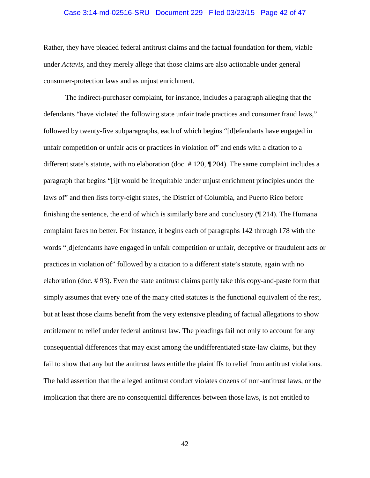#### Case 3:14-md-02516-SRU Document 229 Filed 03/23/15 Page 42 of 47

Rather, they have pleaded federal antitrust claims and the factual foundation for them, viable under *Actavis*, and they merely allege that those claims are also actionable under general consumer-protection laws and as unjust enrichment.

The indirect-purchaser complaint, for instance, includes a paragraph alleging that the defendants "have violated the following state unfair trade practices and consumer fraud laws," followed by twenty-five subparagraphs, each of which begins "[d]efendants have engaged in unfair competition or unfair acts or practices in violation of" and ends with a citation to a different state's statute, with no elaboration (doc. # 120, ¶ 204). The same complaint includes a paragraph that begins "[i]t would be inequitable under unjust enrichment principles under the laws of" and then lists forty-eight states, the District of Columbia, and Puerto Rico before finishing the sentence, the end of which is similarly bare and conclusory (¶ 214). The Humana complaint fares no better. For instance, it begins each of paragraphs 142 through 178 with the words "[d]efendants have engaged in unfair competition or unfair, deceptive or fraudulent acts or practices in violation of" followed by a citation to a different state's statute, again with no elaboration (doc. # 93). Even the state antitrust claims partly take this copy-and-paste form that simply assumes that every one of the many cited statutes is the functional equivalent of the rest, but at least those claims benefit from the very extensive pleading of factual allegations to show entitlement to relief under federal antitrust law. The pleadings fail not only to account for any consequential differences that may exist among the undifferentiated state-law claims, but they fail to show that any but the antitrust laws entitle the plaintiffs to relief from antitrust violations. The bald assertion that the alleged antitrust conduct violates dozens of non-antitrust laws, or the implication that there are no consequential differences between those laws, is not entitled to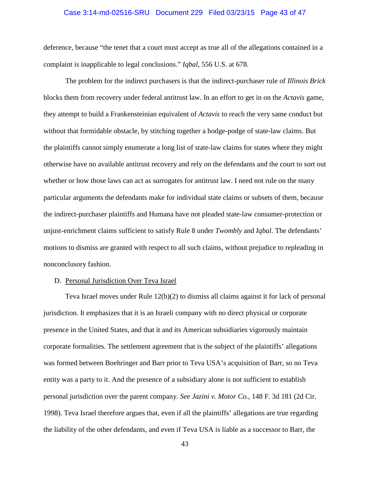#### Case 3:14-md-02516-SRU Document 229 Filed 03/23/15 Page 43 of 47

deference, because "the tenet that a court must accept as true all of the allegations contained in a complaint is inapplicable to legal conclusions." *Iqbal*, 556 U.S. at 678.

The problem for the indirect purchasers is that the indirect-purchaser rule of *Illinois Brick* blocks them from recovery under federal antitrust law. In an effort to get in on the *Actavis* game, they attempt to build a Frankensteinian equivalent of *Actavis* to reach the very same conduct but without that formidable obstacle, by stitching together a hodge-podge of state-law claims. But the plaintiffs cannot simply enumerate a long list of state-law claims for states where they might otherwise have no available antitrust recovery and rely on the defendants and the court to sort out whether or how those laws can act as surrogates for antitrust law. I need not rule on the many particular arguments the defendants make for individual state claims or subsets of them, because the indirect-purchaser plaintiffs and Humana have not pleaded state-law consumer-protection or unjust-enrichment claims sufficient to satisfy Rule 8 under *Twombly* and *Iqbal*. The defendants' motions to dismiss are granted with respect to all such claims, without prejudice to repleading in nonconclusory fashion.

#### D. Personal Jurisdiction Over Teva Israel

Teva Israel moves under Rule 12(b)(2) to dismiss all claims against it for lack of personal jurisdiction. It emphasizes that it is an Israeli company with no direct physical or corporate presence in the United States, and that it and its American subsidiaries vigorously maintain corporate formalities. The settlement agreement that is the subject of the plaintiffs' allegations was formed between Boehringer and Barr prior to Teva USA's acquisition of Barr, so no Teva entity was a party to it. And the presence of a subsidiary alone is not sufficient to establish personal jurisdiction over the parent company. *See Jazini v. Motor Co.*, 148 F. 3d 181 (2d Cir. 1998). Teva Israel therefore argues that, even if all the plaintiffs' allegations are true regarding the liability of the other defendants, and even if Teva USA is liable as a successor to Barr, the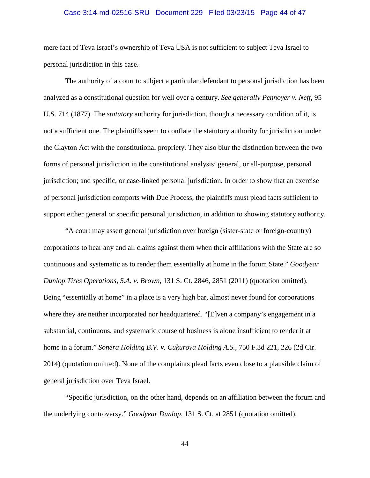#### Case 3:14-md-02516-SRU Document 229 Filed 03/23/15 Page 44 of 47

mere fact of Teva Israel's ownership of Teva USA is not sufficient to subject Teva Israel to personal jurisdiction in this case.

The authority of a court to subject a particular defendant to personal jurisdiction has been analyzed as a constitutional question for well over a century. *See generally Pennoyer v. Neff*, 95 U.S. 714 (1877). The *statutory* authority for jurisdiction, though a necessary condition of it, is not a sufficient one. The plaintiffs seem to conflate the statutory authority for jurisdiction under the Clayton Act with the constitutional propriety. They also blur the distinction between the two forms of personal jurisdiction in the constitutional analysis: general, or all-purpose, personal jurisdiction; and specific, or case-linked personal jurisdiction. In order to show that an exercise of personal jurisdiction comports with Due Process, the plaintiffs must plead facts sufficient to support either general or specific personal jurisdiction, in addition to showing statutory authority.

"A court may assert general jurisdiction over foreign (sister-state or foreign-country) corporations to hear any and all claims against them when their affiliations with the State are so continuous and systematic as to render them essentially at home in the forum State." *Goodyear Dunlop Tires Operations, S.A. v. Brown*, 131 S. Ct. 2846, 2851 (2011) (quotation omitted). Being "essentially at home" in a place is a very high bar, almost never found for corporations where they are neither incorporated nor headquartered. "[E]ven a company's engagement in a substantial, continuous, and systematic course of business is alone insufficient to render it at home in a forum." *Sonera Holding B.V. v. Cukurova Holding A.S.*, 750 F.3d 221, 226 (2d Cir. 2014) (quotation omitted). None of the complaints plead facts even close to a plausible claim of general jurisdiction over Teva Israel.

"Specific jurisdiction, on the other hand, depends on an affiliation between the forum and the underlying controversy." *Goodyear Dunlop*, 131 S. Ct. at 2851 (quotation omitted).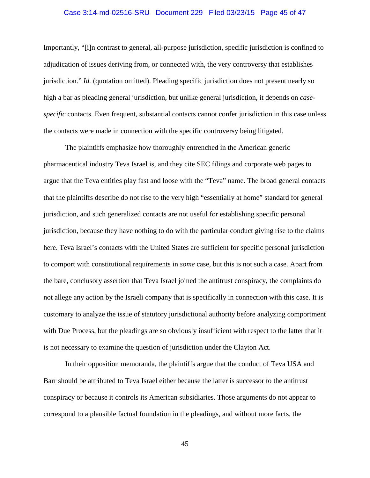#### Case 3:14-md-02516-SRU Document 229 Filed 03/23/15 Page 45 of 47

Importantly, "[i]n contrast to general, all-purpose jurisdiction, specific jurisdiction is confined to adjudication of issues deriving from, or connected with, the very controversy that establishes jurisdiction." *Id.* (quotation omitted). Pleading specific jurisdiction does not present nearly so high a bar as pleading general jurisdiction, but unlike general jurisdiction, it depends on *casespecific* contacts. Even frequent, substantial contacts cannot confer jurisdiction in this case unless the contacts were made in connection with the specific controversy being litigated.

The plaintiffs emphasize how thoroughly entrenched in the American generic pharmaceutical industry Teva Israel is, and they cite SEC filings and corporate web pages to argue that the Teva entities play fast and loose with the "Teva" name. The broad general contacts that the plaintiffs describe do not rise to the very high "essentially at home" standard for general jurisdiction, and such generalized contacts are not useful for establishing specific personal jurisdiction, because they have nothing to do with the particular conduct giving rise to the claims here. Teva Israel's contacts with the United States are sufficient for specific personal jurisdiction to comport with constitutional requirements in *some* case, but this is not such a case. Apart from the bare, conclusory assertion that Teva Israel joined the antitrust conspiracy, the complaints do not allege any action by the Israeli company that is specifically in connection with this case. It is customary to analyze the issue of statutory jurisdictional authority before analyzing comportment with Due Process, but the pleadings are so obviously insufficient with respect to the latter that it is not necessary to examine the question of jurisdiction under the Clayton Act.

In their opposition memoranda, the plaintiffs argue that the conduct of Teva USA and Barr should be attributed to Teva Israel either because the latter is successor to the antitrust conspiracy or because it controls its American subsidiaries. Those arguments do not appear to correspond to a plausible factual foundation in the pleadings, and without more facts, the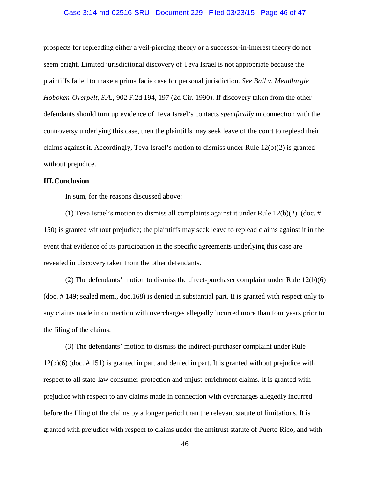#### Case 3:14-md-02516-SRU Document 229 Filed 03/23/15 Page 46 of 47

prospects for repleading either a veil-piercing theory or a successor-in-interest theory do not seem bright. Limited jurisdictional discovery of Teva Israel is not appropriate because the plaintiffs failed to make a prima facie case for personal jurisdiction. *See Ball v. Metallurgie Hoboken-Overpelt, S.A.*, 902 F.2d 194, 197 (2d Cir. 1990). If discovery taken from the other defendants should turn up evidence of Teva Israel's contacts *specifically* in connection with the controversy underlying this case, then the plaintiffs may seek leave of the court to replead their claims against it. Accordingly, Teva Israel's motion to dismiss under Rule 12(b)(2) is granted without prejudice.

### **III.Conclusion**

In sum, for the reasons discussed above:

(1) Teva Israel's motion to dismiss all complaints against it under Rule  $12(b)(2)$  (doc. # 150) is granted without prejudice; the plaintiffs may seek leave to replead claims against it in the event that evidence of its participation in the specific agreements underlying this case are revealed in discovery taken from the other defendants.

(2) The defendants' motion to dismiss the direct-purchaser complaint under Rule 12(b)(6) (doc. # 149; sealed mem., doc.168) is denied in substantial part. It is granted with respect only to any claims made in connection with overcharges allegedly incurred more than four years prior to the filing of the claims.

(3) The defendants' motion to dismiss the indirect-purchaser complaint under Rule 12(b)(6) (doc. # 151) is granted in part and denied in part. It is granted without prejudice with respect to all state-law consumer-protection and unjust-enrichment claims. It is granted with prejudice with respect to any claims made in connection with overcharges allegedly incurred before the filing of the claims by a longer period than the relevant statute of limitations. It is granted with prejudice with respect to claims under the antitrust statute of Puerto Rico, and with